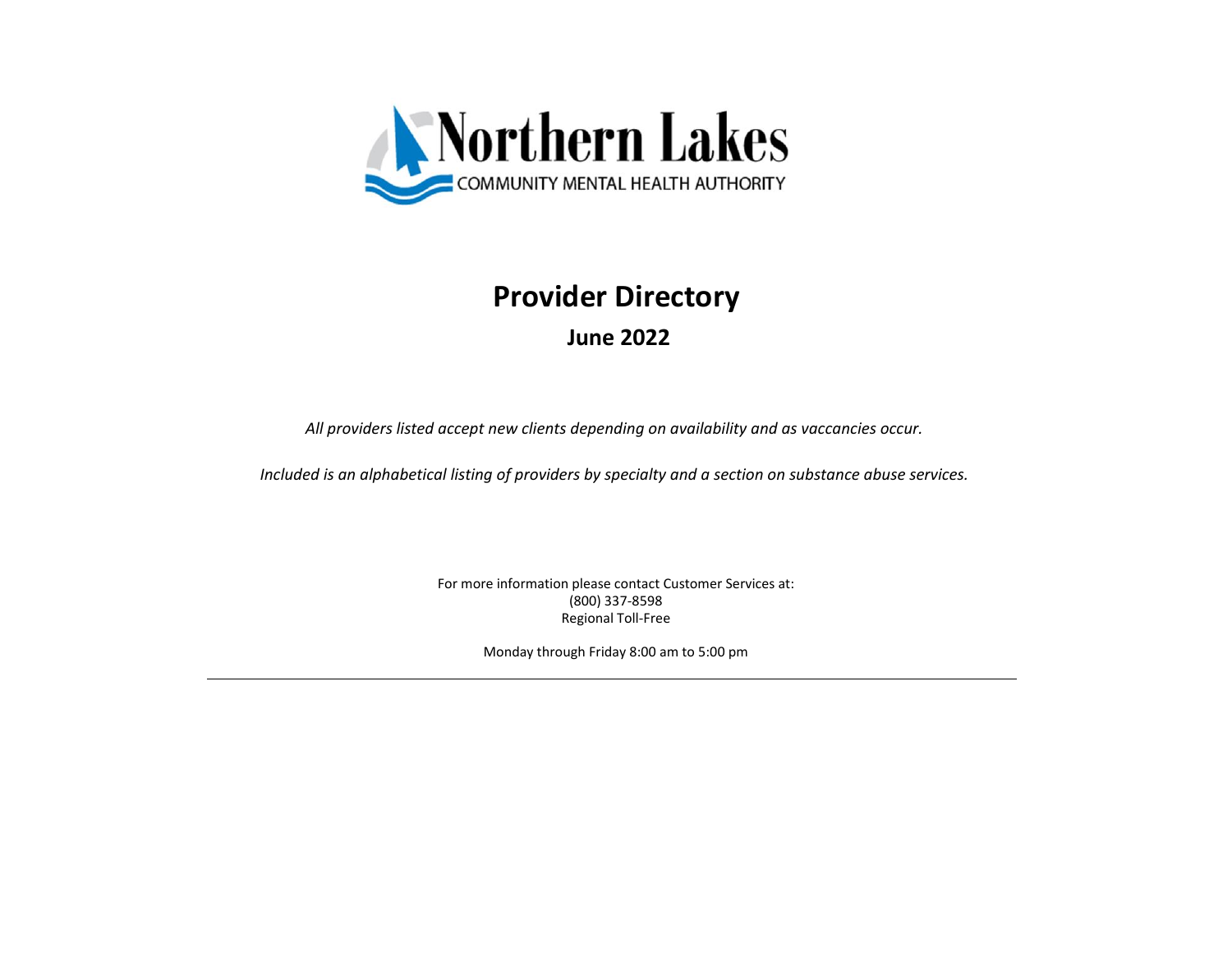

## **Provider Directory June 2022**

*All providers listed accept new clients depending on availability and as vaccancies occur.*

*Included is an alphabetical listing of providers by specialty and a section on substance abuse services.*

For more information please contact Customer Services at: (800) 337-8598 Regional Toll-Free

Monday through Friday 8:00 am to 5:00 pm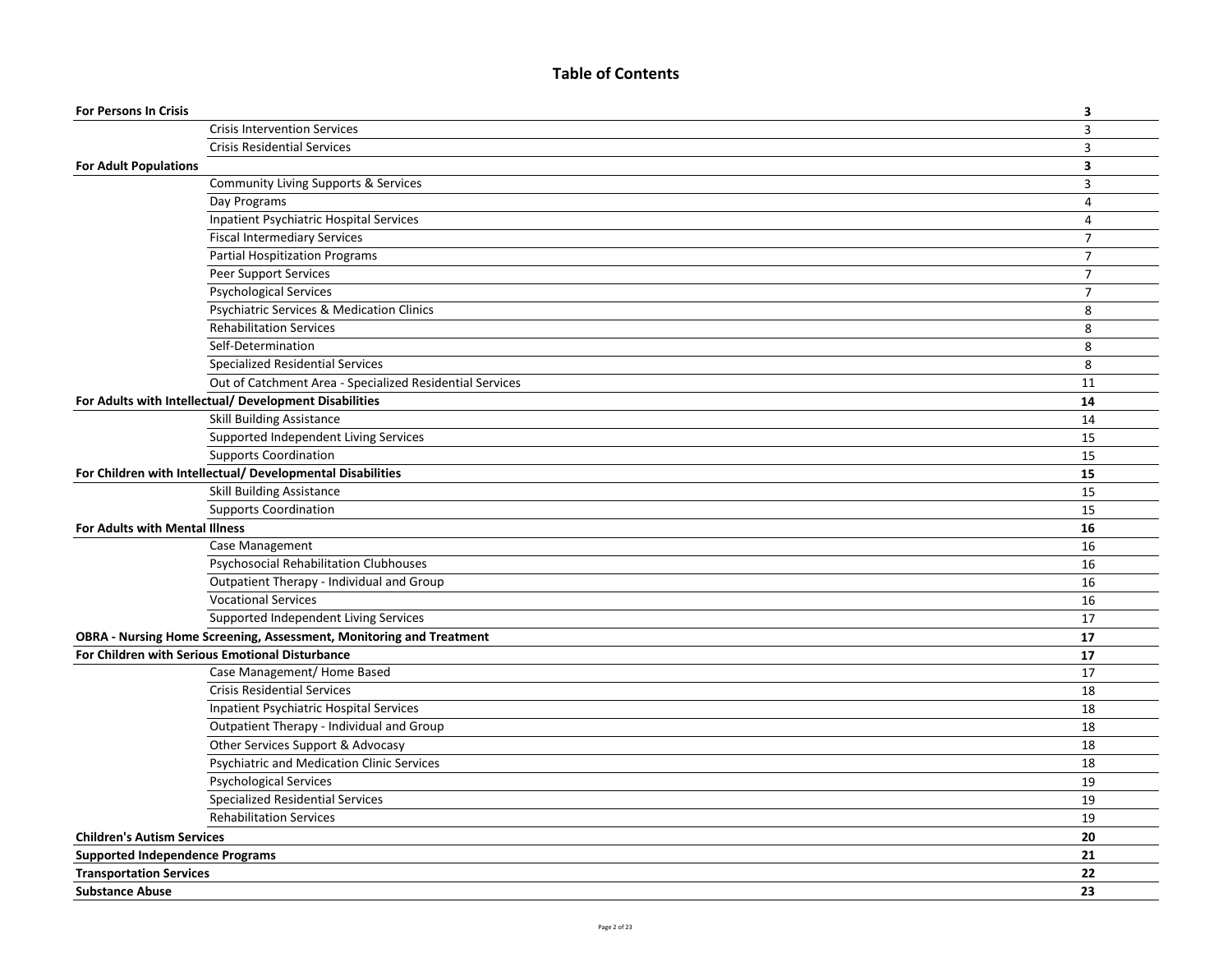## **Table of Contents**

| <b>For Persons In Crisis</b>           |                                                                     | 3                       |
|----------------------------------------|---------------------------------------------------------------------|-------------------------|
|                                        | <b>Crisis Intervention Services</b>                                 | $\overline{\mathbf{3}}$ |
|                                        | <b>Crisis Residential Services</b>                                  | 3                       |
| <b>For Adult Populations</b>           |                                                                     | $\overline{\mathbf{3}}$ |
|                                        | Community Living Supports & Services                                | 3                       |
|                                        | Day Programs                                                        | $\overline{4}$          |
|                                        | Inpatient Psychiatric Hospital Services                             | 4                       |
|                                        | <b>Fiscal Intermediary Services</b>                                 | $\overline{7}$          |
|                                        | <b>Partial Hospitization Programs</b>                               | $\overline{7}$          |
|                                        | Peer Support Services                                               | $\overline{7}$          |
|                                        | <b>Psychological Services</b>                                       | $\overline{7}$          |
|                                        | Psychiatric Services & Medication Clinics                           | 8                       |
|                                        | <b>Rehabilitation Services</b>                                      | 8                       |
|                                        | Self-Determination                                                  | 8                       |
|                                        | <b>Specialized Residential Services</b>                             | 8                       |
|                                        | Out of Catchment Area - Specialized Residential Services            | 11                      |
|                                        | For Adults with Intellectual/ Development Disabilities              | 14                      |
|                                        | <b>Skill Building Assistance</b>                                    | 14                      |
|                                        | Supported Independent Living Services                               | 15                      |
|                                        | <b>Supports Coordination</b>                                        | 15                      |
|                                        | For Children with Intellectual/ Developmental Disabilities          | 15                      |
|                                        | <b>Skill Building Assistance</b>                                    | 15                      |
|                                        | <b>Supports Coordination</b>                                        | 15                      |
| For Adults with Mental Illness         |                                                                     | 16                      |
|                                        | Case Management                                                     | 16                      |
|                                        | Psychosocial Rehabilitation Clubhouses                              | 16                      |
|                                        | Outpatient Therapy - Individual and Group                           | 16                      |
|                                        | <b>Vocational Services</b>                                          | 16                      |
|                                        | Supported Independent Living Services                               | 17                      |
|                                        | OBRA - Nursing Home Screening, Assessment, Monitoring and Treatment | 17                      |
|                                        | For Children with Serious Emotional Disturbance                     | 17                      |
|                                        | Case Management/ Home Based                                         | 17                      |
|                                        | <b>Crisis Residential Services</b>                                  | 18                      |
|                                        | Inpatient Psychiatric Hospital Services                             | 18                      |
|                                        | Outpatient Therapy - Individual and Group                           | 18                      |
|                                        | Other Services Support & Advocasy                                   | 18                      |
|                                        | Psychiatric and Medication Clinic Services                          | 18                      |
|                                        | <b>Psychological Services</b>                                       | 19                      |
|                                        | <b>Specialized Residential Services</b>                             | 19                      |
|                                        | <b>Rehabilitation Services</b>                                      | 19                      |
| <b>Children's Autism Services</b>      |                                                                     | 20                      |
| <b>Supported Independence Programs</b> |                                                                     | 21                      |
| <b>Transportation Services</b>         |                                                                     | 22                      |
| <b>Substance Abuse</b>                 |                                                                     | 23                      |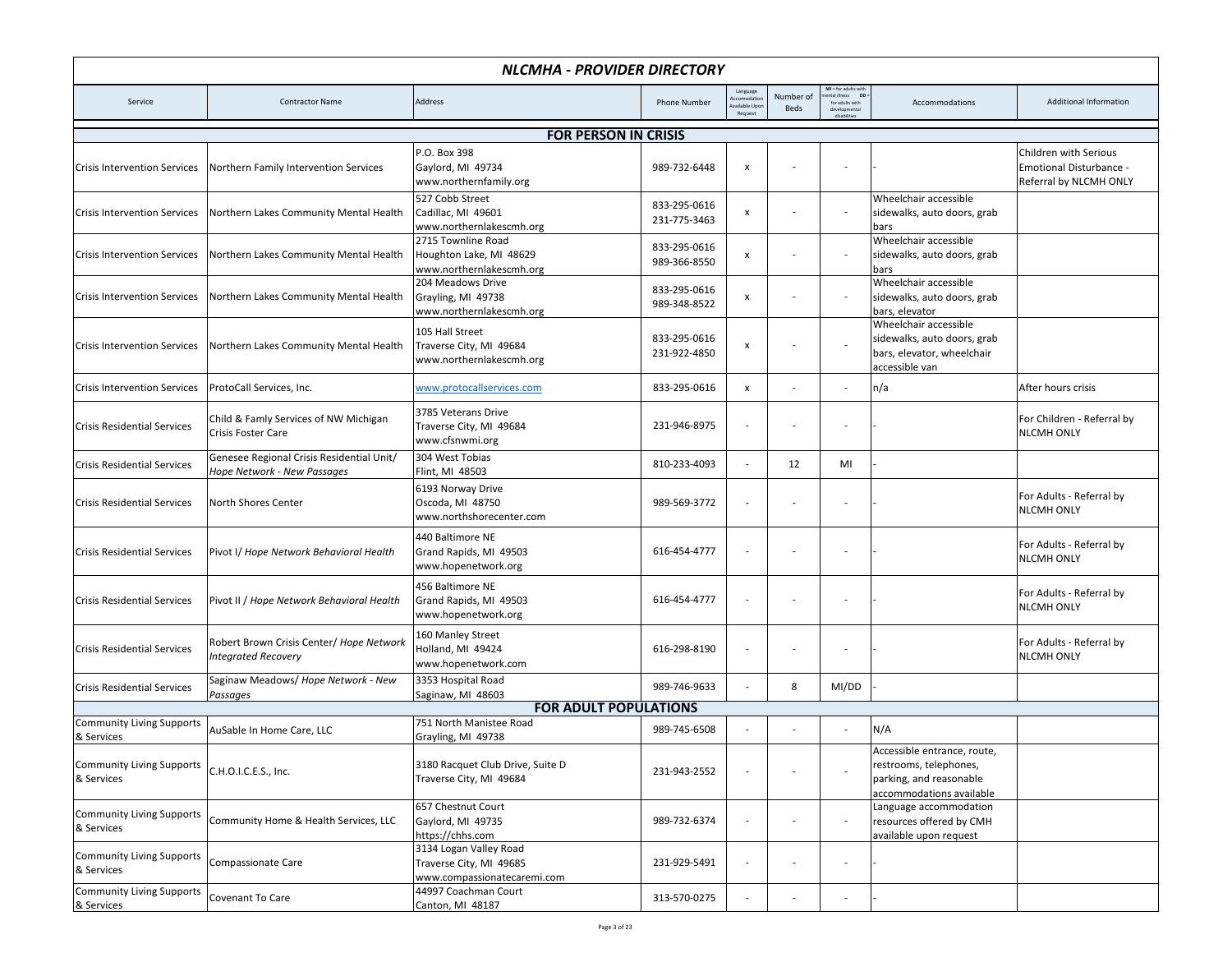| NLCMHA - PROVIDER DIRECTORY                    |                                                                                 |                                                                                  |                              |                                                   |                   |                                                                      |                                                                                                              |                                                                            |  |  |
|------------------------------------------------|---------------------------------------------------------------------------------|----------------------------------------------------------------------------------|------------------------------|---------------------------------------------------|-------------------|----------------------------------------------------------------------|--------------------------------------------------------------------------------------------------------------|----------------------------------------------------------------------------|--|--|
| Service                                        | <b>Contractor Name</b>                                                          | Address                                                                          | <b>Phone Number</b>          | Language<br>ccomodatio<br>vailable Upo<br>Request | Number of<br>Beds | MI = for adults with<br><b>DD</b><br>ntal illness<br>for adults with | Accommodations                                                                                               | <b>Additional Information</b>                                              |  |  |
| <b>FOR PERSON IN CRISIS</b>                    |                                                                                 |                                                                                  |                              |                                                   |                   |                                                                      |                                                                                                              |                                                                            |  |  |
| <b>Crisis Intervention Services</b>            | Northern Family Intervention Services                                           | P.O. Box 398<br>Gaylord, MI 49734<br>www.northernfamily.org                      | 989-732-6448                 | $\pmb{\mathsf{x}}$                                |                   |                                                                      |                                                                                                              | Children with Serious<br>Emotional Disturbance -<br>Referral by NLCMH ONLY |  |  |
| <b>Crisis Intervention Services</b>            | Northern Lakes Community Mental Health                                          | 527 Cobb Street<br>Cadillac, MI 49601<br>www.northernlakescmh.org                | 833-295-0616<br>231-775-3463 | $\boldsymbol{\mathsf{x}}$                         |                   |                                                                      | Wheelchair accessible<br>sidewalks, auto doors, grab<br>bars                                                 |                                                                            |  |  |
| <b>Crisis Intervention Services</b>            | Northern Lakes Community Mental Health                                          | 2715 Townline Road<br>Houghton Lake, MI 48629<br>www.northernlakescmh.org        | 833-295-0616<br>989-366-8550 | $\boldsymbol{\mathsf{x}}$                         |                   |                                                                      | Wheelchair accessible<br>sidewalks, auto doors, grab<br>bars                                                 |                                                                            |  |  |
| <b>Crisis Intervention Services</b>            | Northern Lakes Community Mental Health                                          | 204 Meadows Drive<br>Grayling, MI 49738<br>www.northernlakescmh.org              | 833-295-0616<br>989-348-8522 | $\boldsymbol{\mathsf{x}}$                         |                   |                                                                      | Wheelchair accessible<br>sidewalks, auto doors, grab<br>bars, elevator                                       |                                                                            |  |  |
| <b>Crisis Intervention Services</b>            | Northern Lakes Community Mental Health                                          | 105 Hall Street<br>Traverse City, MI 49684<br>www.northernlakescmh.org           | 833-295-0616<br>231-922-4850 | $\pmb{\mathsf{x}}$                                |                   |                                                                      | Wheelchair accessible<br>sidewalks, auto doors, grab<br>bars, elevator, wheelchair<br>accessible van         |                                                                            |  |  |
| <b>Crisis Intervention Services</b>            | ProtoCall Services, Inc.                                                        | www.protocallservices.com                                                        | 833-295-0616                 | x                                                 |                   | $\overline{\phantom{a}}$                                             | n/a                                                                                                          | After hours crisis                                                         |  |  |
| <b>Crisis Residential Services</b>             | Child & Famly Services of NW Michigan<br>Crisis Foster Care                     | 3785 Veterans Drive<br>Traverse City, MI 49684<br>www.cfsnwmi.org                | 231-946-8975                 | $\overline{a}$                                    |                   |                                                                      |                                                                                                              | For Children - Referral by<br><b>NLCMH ONLY</b>                            |  |  |
| <b>Crisis Residential Services</b>             | Genesee Regional Crisis Residential Unit/<br><b>Hope Network - New Passages</b> | 304 West Tobias<br>Flint, MI 48503                                               | 810-233-4093                 |                                                   | 12                | MI                                                                   |                                                                                                              |                                                                            |  |  |
| <b>Crisis Residential Services</b>             | North Shores Center                                                             | 6193 Norway Drive<br>Oscoda, MI 48750<br>www.northshorecenter.com                | 989-569-3772                 |                                                   |                   |                                                                      |                                                                                                              | For Adults - Referral by<br><b>NLCMH ONLY</b>                              |  |  |
| <b>Crisis Residential Services</b>             | Pivot I/ Hope Network Behavioral Health                                         | 440 Baltimore NE<br>Grand Rapids, MI 49503<br>www.hopenetwork.org                | 616-454-4777                 | $\overline{a}$                                    |                   |                                                                      |                                                                                                              | For Adults - Referral by<br><b>NLCMH ONLY</b>                              |  |  |
| <b>Crisis Residential Services</b>             | Pivot II / Hope Network Behavioral Health                                       | 456 Baltimore NE<br>Grand Rapids, MI 49503<br>www.hopenetwork.org                | 616-454-4777                 | $\overline{\phantom{a}}$                          |                   |                                                                      |                                                                                                              | For Adults - Referral by<br><b>NLCMH ONLY</b>                              |  |  |
| <b>Crisis Residential Services</b>             | Robert Brown Crisis Center/ Hope Network<br>Integrated Recovery                 | 160 Manley Street<br>Holland, MI 49424<br>www.hopenetwork.com                    | 616-298-8190                 | $\overline{\phantom{a}}$                          |                   |                                                                      |                                                                                                              | For Adults - Referral by<br><b>NLCMH ONLY</b>                              |  |  |
| <b>Crisis Residential Services</b>             | Saginaw Meadows/ Hope Network - New<br>Passages                                 | 3353 Hospital Road<br>Saginaw, MI 48603                                          | 989-746-9633                 |                                                   | 8                 | MI/DD                                                                |                                                                                                              |                                                                            |  |  |
|                                                |                                                                                 | <b>FOR ADULT POPULATIONS</b>                                                     |                              |                                                   |                   |                                                                      |                                                                                                              |                                                                            |  |  |
| <b>Community Living Supports</b><br>& Services | AuSable In Home Care, LLC                                                       | 751 North Manistee Road<br>Grayling, MI 49738                                    | 989-745-6508                 | ٠                                                 |                   | $\sim$                                                               | N/A                                                                                                          |                                                                            |  |  |
| <b>Community Living Supports</b><br>& Services | C.H.O.I.C.E.S., Inc.                                                            | 3180 Racquet Club Drive, Suite D<br>Traverse City, MI 49684                      | 231-943-2552                 |                                                   |                   |                                                                      | Accessible entrance, route,<br>restrooms, telephones,<br>parking, and reasonable<br>accommodations available |                                                                            |  |  |
| <b>Community Living Supports</b><br>& Services | Community Home & Health Services, LLC                                           | 657 Chestnut Court<br>Gaylord, MI 49735<br>https://chhs.com                      | 989-732-6374                 | $\overline{\phantom{a}}$                          |                   |                                                                      | Language accommodation<br>resources offered by CMH<br>available upon request                                 |                                                                            |  |  |
| <b>Community Living Supports</b><br>& Services | Compassionate Care                                                              | 3134 Logan Valley Road<br>Traverse City, MI 49685<br>www.compassionatecaremi.com | 231-929-5491                 | $\overline{\phantom{a}}$                          |                   |                                                                      |                                                                                                              |                                                                            |  |  |
| <b>Community Living Supports</b><br>& Services | Covenant To Care                                                                | 44997 Coachman Court<br>Canton, MI 48187                                         | 313-570-0275                 |                                                   |                   |                                                                      |                                                                                                              |                                                                            |  |  |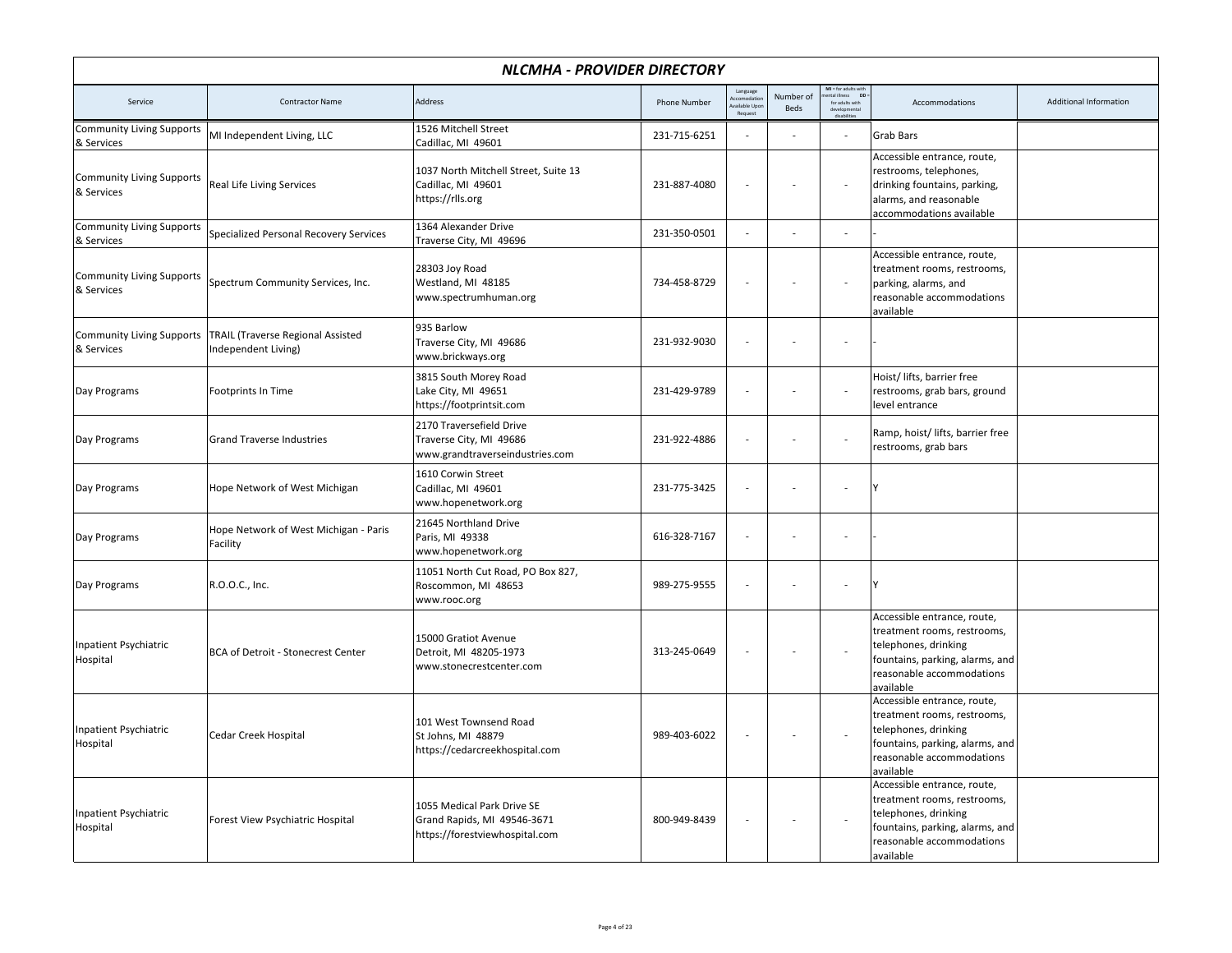| NLCMHA - PROVIDER DIRECTORY                    |                                                          |                                                                                             |                     |                                     |                   |                                                              |                                                                                                                                                                 |                               |  |
|------------------------------------------------|----------------------------------------------------------|---------------------------------------------------------------------------------------------|---------------------|-------------------------------------|-------------------|--------------------------------------------------------------|-----------------------------------------------------------------------------------------------------------------------------------------------------------------|-------------------------------|--|
| Service                                        | <b>Contractor Name</b>                                   | Address                                                                                     | <b>Phone Number</b> | Language<br>vailable Upd<br>Request | Number of<br>Beds | MI = for adults with<br>nental illness DD<br>for adults with | Accommodations                                                                                                                                                  | <b>Additional Information</b> |  |
| <b>Community Living Supports</b><br>& Services | MI Independent Living, LLC                               | 1526 Mitchell Street<br>Cadillac, MI 49601                                                  | 231-715-6251        | Ĭ.                                  |                   |                                                              | Grab Bars                                                                                                                                                       |                               |  |
| <b>Community Living Supports</b><br>& Services | <b>Real Life Living Services</b>                         | 1037 North Mitchell Street, Suite 13<br>Cadillac, MI 49601<br>https://rlls.org              | 231-887-4080        | $\overline{a}$                      |                   | L.                                                           | Accessible entrance, route,<br>restrooms, telephones,<br>drinking fountains, parking,<br>alarms, and reasonable<br>accommodations available                     |                               |  |
| <b>Community Living Supports</b><br>& Services | Specialized Personal Recovery Services                   | 1364 Alexander Drive<br>Traverse City, MI 49696                                             | 231-350-0501        | L.                                  |                   | $\overline{a}$                                               |                                                                                                                                                                 |                               |  |
| <b>Community Living Supports</b><br>& Services | Spectrum Community Services, Inc.                        | 28303 Joy Road<br>Westland, MI 48185<br>www.spectrumhuman.org                               | 734-458-8729        | $\overline{\phantom{a}}$            |                   | ÷,                                                           | Accessible entrance, route,<br>treatment rooms, restrooms,<br>parking, alarms, and<br>reasonable accommodations<br>available                                    |                               |  |
| <b>Community Living Supports</b><br>& Services | TRAIL (Traverse Regional Assisted<br>Independent Living) | 935 Barlow<br>Traverse City, MI 49686<br>www.brickways.org                                  | 231-932-9030        | $\overline{a}$                      |                   |                                                              |                                                                                                                                                                 |                               |  |
| Day Programs                                   | Footprints In Time                                       | 3815 South Morey Road<br>Lake City, MI 49651<br>https://footprintsit.com                    | 231-429-9789        | $\overline{\phantom{a}}$            |                   | $\sim$                                                       | Hoist/ lifts, barrier free<br>restrooms, grab bars, ground<br>level entrance                                                                                    |                               |  |
| Day Programs                                   | <b>Grand Traverse Industries</b>                         | 2170 Traversefield Drive<br>Traverse City, MI 49686<br>www.grandtraverseindustries.com      | 231-922-4886        | L.                                  |                   |                                                              | Ramp, hoist/ lifts, barrier free<br>restrooms, grab bars                                                                                                        |                               |  |
| Day Programs                                   | Hope Network of West Michigan                            | 1610 Corwin Street<br>Cadillac, MI 49601<br>www.hopenetwork.org                             | 231-775-3425        | $\overline{\phantom{a}}$            |                   | ÷,                                                           |                                                                                                                                                                 |                               |  |
| Day Programs                                   | Hope Network of West Michigan - Paris<br>Facility        | 21645 Northland Drive<br>Paris, MI 49338<br>www.hopenetwork.org                             | 616-328-7167        | $\sim$                              |                   |                                                              |                                                                                                                                                                 |                               |  |
| Day Programs                                   | R.O.O.C., Inc.                                           | 11051 North Cut Road, PO Box 827,<br>Roscommon, MI 48653<br>www.rooc.org                    | 989-275-9555        | $\overline{a}$                      |                   | ÷,                                                           |                                                                                                                                                                 |                               |  |
| <b>Inpatient Psychiatric</b><br>Hospital       | <b>BCA of Detroit - Stonecrest Center</b>                | 15000 Gratiot Avenue<br>Detroit, MI 48205-1973<br>www.stonecrestcenter.com                  | 313-245-0649        | $\overline{\phantom{a}}$            |                   | $\sim$                                                       | Accessible entrance, route,<br>treatment rooms, restrooms,<br>telephones, drinking<br>fountains, parking, alarms, and<br>reasonable accommodations<br>available |                               |  |
| <b>Inpatient Psychiatric</b><br>Hospital       | <b>Cedar Creek Hospital</b>                              | 101 West Townsend Road<br>St Johns, MI 48879<br>https://cedarcreekhospital.com              | 989-403-6022        | $\overline{\phantom{a}}$            |                   |                                                              | Accessible entrance, route,<br>treatment rooms, restrooms,<br>telephones, drinking<br>fountains, parking, alarms, and<br>reasonable accommodations<br>available |                               |  |
| Inpatient Psychiatric<br>Hospital              | Forest View Psychiatric Hospital                         | 1055 Medical Park Drive SE<br>Grand Rapids, MI 49546-3671<br>https://forestviewhospital.com | 800-949-8439        | $\overline{a}$                      |                   |                                                              | Accessible entrance, route,<br>treatment rooms, restrooms,<br>telephones, drinking<br>fountains, parking, alarms, and<br>reasonable accommodations<br>available |                               |  |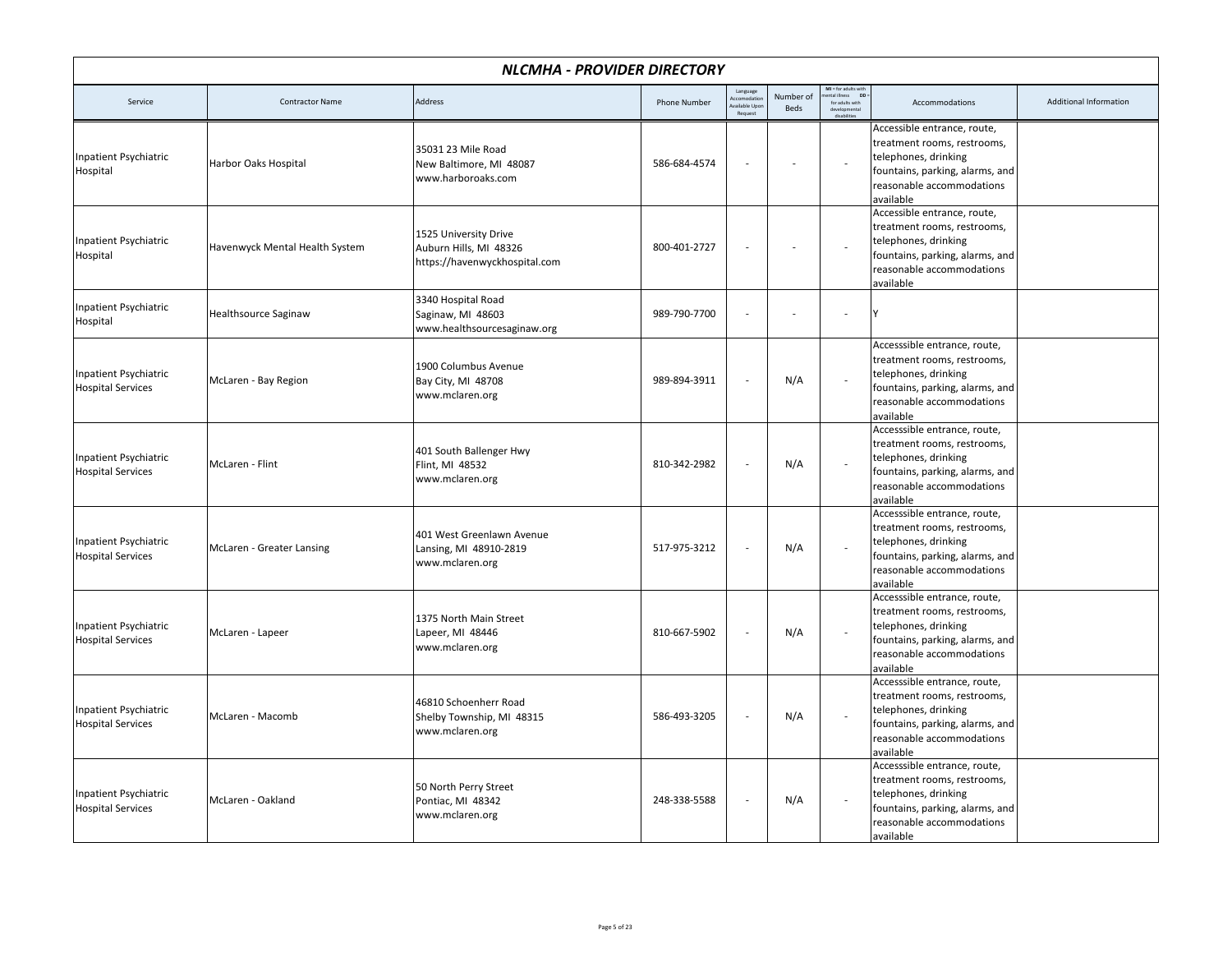|                                                          | <b>NLCMHA - PROVIDER DIRECTORY</b> |                                                                                  |                     |                                                    |                   |                                                                                |                                                                                                                                                                  |                               |  |  |  |
|----------------------------------------------------------|------------------------------------|----------------------------------------------------------------------------------|---------------------|----------------------------------------------------|-------------------|--------------------------------------------------------------------------------|------------------------------------------------------------------------------------------------------------------------------------------------------------------|-------------------------------|--|--|--|
| Service                                                  | <b>Contractor Name</b>             | Address                                                                          | <b>Phone Number</b> | Language<br>ccomodatio<br>vailable Upor<br>Request | Number of<br>Beds | MI = for adults with<br>nental illness DD<br>ntal illness D<br>for adults with | Accommodations                                                                                                                                                   | <b>Additional Information</b> |  |  |  |
| Inpatient Psychiatric<br>Hospital                        | Harbor Oaks Hospital               | 35031 23 Mile Road<br>New Baltimore, MI 48087<br>www.harboroaks.com              | 586-684-4574        |                                                    |                   | $\overline{\phantom{a}}$                                                       | Accessible entrance, route,<br>treatment rooms, restrooms,<br>telephones, drinking<br>fountains, parking, alarms, and<br>reasonable accommodations<br>available  |                               |  |  |  |
| <b>Inpatient Psychiatric</b><br>Hospital                 | Havenwyck Mental Health System     | 1525 University Drive<br>Auburn Hills, MI 48326<br>https://havenwyckhospital.com | 800-401-2727        |                                                    |                   | $\overline{\phantom{a}}$                                                       | Accessible entrance, route,<br>treatment rooms, restrooms,<br>telephones, drinking<br>fountains, parking, alarms, and<br>reasonable accommodations<br>available  |                               |  |  |  |
| Inpatient Psychiatric<br>Hospital                        | <b>Healthsource Saginaw</b>        | 3340 Hospital Road<br>Saginaw, MI 48603<br>www.healthsourcesaginaw.org           | 989-790-7700        |                                                    |                   | ÷,                                                                             |                                                                                                                                                                  |                               |  |  |  |
| <b>Inpatient Psychiatric</b><br><b>Hospital Services</b> | McLaren - Bay Region               | 1900 Columbus Avenue<br>Bay City, MI 48708<br>www.mclaren.org                    | 989-894-3911        |                                                    | N/A               |                                                                                | Accesssible entrance, route,<br>treatment rooms, restrooms,<br>telephones, drinking<br>fountains, parking, alarms, and<br>reasonable accommodations<br>available |                               |  |  |  |
| <b>Inpatient Psychiatric</b><br><b>Hospital Services</b> | McLaren - Flint                    | 401 South Ballenger Hwy<br>Flint, MI 48532<br>www.mclaren.org                    | 810-342-2982        |                                                    | N/A               |                                                                                | Accesssible entrance, route,<br>treatment rooms, restrooms,<br>telephones, drinking<br>fountains, parking, alarms, and<br>reasonable accommodations<br>available |                               |  |  |  |
| <b>Inpatient Psychiatric</b><br><b>Hospital Services</b> | McLaren - Greater Lansing          | 401 West Greenlawn Avenue<br>Lansing, MI 48910-2819<br>www.mclaren.org           | 517-975-3212        |                                                    | N/A               | $\overline{\phantom{a}}$                                                       | Accesssible entrance, route,<br>treatment rooms, restrooms,<br>telephones, drinking<br>fountains, parking, alarms, and<br>reasonable accommodations<br>available |                               |  |  |  |
| <b>Inpatient Psychiatric</b><br><b>Hospital Services</b> | McLaren - Lapeer                   | 1375 North Main Street<br>Lapeer, MI 48446<br>www.mclaren.org                    | 810-667-5902        |                                                    | N/A               | $\sim$                                                                         | Accesssible entrance, route,<br>treatment rooms, restrooms,<br>telephones, drinking<br>fountains, parking, alarms, and<br>reasonable accommodations<br>available |                               |  |  |  |
| <b>Inpatient Psychiatric</b><br><b>Hospital Services</b> | McLaren - Macomb                   | 46810 Schoenherr Road<br>Shelby Township, MI 48315<br>www.mclaren.org            | 586-493-3205        |                                                    | N/A               | $\overline{\phantom{a}}$                                                       | Accesssible entrance, route,<br>treatment rooms, restrooms,<br>telephones, drinking<br>fountains, parking, alarms, and<br>reasonable accommodations<br>available |                               |  |  |  |
| <b>Inpatient Psychiatric</b><br><b>Hospital Services</b> | McLaren - Oakland                  | 50 North Perry Street<br>Pontiac, MI 48342<br>www.mclaren.org                    | 248-338-5588        |                                                    | N/A               |                                                                                | Accesssible entrance, route,<br>treatment rooms, restrooms,<br>telephones, drinking<br>fountains, parking, alarms, and<br>reasonable accommodations<br>available |                               |  |  |  |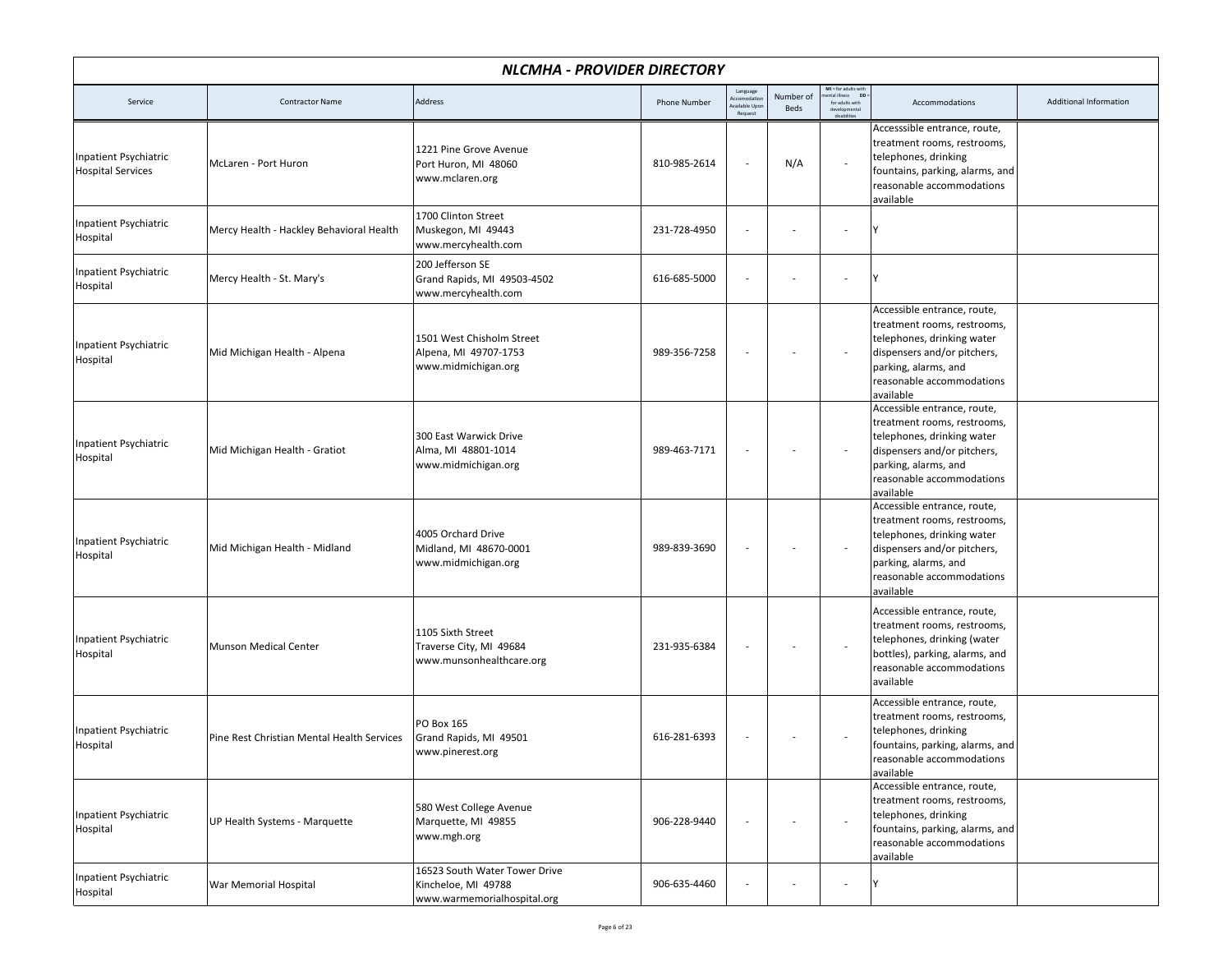| NLCMHA - PROVIDER DIRECTORY                       |                                            |                                                                                     |                     |                                                    |                   |                                                                                                                            |                                                                                                                                                                                           |                               |  |
|---------------------------------------------------|--------------------------------------------|-------------------------------------------------------------------------------------|---------------------|----------------------------------------------------|-------------------|----------------------------------------------------------------------------------------------------------------------------|-------------------------------------------------------------------------------------------------------------------------------------------------------------------------------------------|-------------------------------|--|
| Service                                           | <b>Contractor Name</b>                     | Address                                                                             | <b>Phone Number</b> | Language<br>ccomodation<br>vailable Upo<br>Request | Number of<br>Beds | <b>MI</b> = for adults with<br>nental illness <b>DD</b><br>ntal illness<br>for adults with<br>developmental<br>dirabilitie | Accommodations                                                                                                                                                                            | <b>Additional Information</b> |  |
| Inpatient Psychiatric<br><b>Hospital Services</b> | McLaren - Port Huron                       | 1221 Pine Grove Avenue<br>Port Huron, MI 48060<br>www.mclaren.org                   | 810-985-2614        |                                                    | N/A               |                                                                                                                            | Accesssible entrance, route,<br>treatment rooms, restrooms,<br>telephones, drinking<br>fountains, parking, alarms, and<br>reasonable accommodations<br>available                          |                               |  |
| <b>Inpatient Psychiatric</b><br>Hospital          | Mercy Health - Hackley Behavioral Health   | 1700 Clinton Street<br>Muskegon, MI 49443<br>www.mercyhealth.com                    | 231-728-4950        |                                                    |                   |                                                                                                                            |                                                                                                                                                                                           |                               |  |
| Inpatient Psychiatric<br>Hospital                 | Mercy Health - St. Mary's                  | 200 Jefferson SE<br>Grand Rapids, MI 49503-4502<br>www.mercyhealth.com              | 616-685-5000        |                                                    |                   |                                                                                                                            | Υ                                                                                                                                                                                         |                               |  |
| Inpatient Psychiatric<br>Hospital                 | Mid Michigan Health - Alpena               | 1501 West Chisholm Street<br>Alpena, MI 49707-1753<br>www.midmichigan.org           | 989-356-7258        |                                                    |                   |                                                                                                                            | Accessible entrance, route,<br>treatment rooms, restrooms,<br>telephones, drinking water<br>dispensers and/or pitchers,<br>parking, alarms, and<br>reasonable accommodations<br>available |                               |  |
| Inpatient Psychiatric<br>Hospital                 | Mid Michigan Health - Gratiot              | 300 East Warwick Drive<br>Alma, MI 48801-1014<br>www.midmichigan.org                | 989-463-7171        |                                                    |                   |                                                                                                                            | Accessible entrance, route,<br>treatment rooms, restrooms,<br>telephones, drinking water<br>dispensers and/or pitchers,<br>parking, alarms, and<br>reasonable accommodations<br>available |                               |  |
| Inpatient Psychiatric<br>Hospital                 | Mid Michigan Health - Midland              | 4005 Orchard Drive<br>Midland, MI 48670-0001<br>www.midmichigan.org                 | 989-839-3690        |                                                    |                   | $\overline{\phantom{a}}$                                                                                                   | Accessible entrance, route,<br>treatment rooms, restrooms,<br>telephones, drinking water<br>dispensers and/or pitchers,<br>parking, alarms, and<br>reasonable accommodations<br>available |                               |  |
| Inpatient Psychiatric<br>Hospital                 | Munson Medical Center                      | 1105 Sixth Street<br>Traverse City, MI 49684<br>www.munsonhealthcare.org            | 231-935-6384        |                                                    |                   | $\sim$                                                                                                                     | Accessible entrance, route,<br>treatment rooms, restrooms,<br>telephones, drinking (water<br>bottles), parking, alarms, and<br>reasonable accommodations<br>available                     |                               |  |
| Inpatient Psychiatric<br>Hospital                 | Pine Rest Christian Mental Health Services | PO Box 165<br>Grand Rapids, MI 49501<br>www.pinerest.org                            | 616-281-6393        |                                                    |                   |                                                                                                                            | Accessible entrance, route,<br>treatment rooms, restrooms,<br>telephones, drinking<br>fountains, parking, alarms, and<br>reasonable accommodations<br>available                           |                               |  |
| Inpatient Psychiatric<br>Hospital                 | UP Health Systems - Marquette              | 580 West College Avenue<br>Marquette, MI 49855<br>www.mgh.org                       | 906-228-9440        | $\overline{\phantom{a}}$                           |                   | $\overline{\phantom{a}}$                                                                                                   | Accessible entrance, route,<br>treatment rooms, restrooms,<br>telephones, drinking<br>fountains, parking, alarms, and<br>reasonable accommodations<br>available                           |                               |  |
| Inpatient Psychiatric<br>Hospital                 | War Memorial Hospital                      | 16523 South Water Tower Drive<br>Kincheloe, MI 49788<br>www.warmemorialhospital.org | 906-635-4460        |                                                    |                   |                                                                                                                            | Y                                                                                                                                                                                         |                               |  |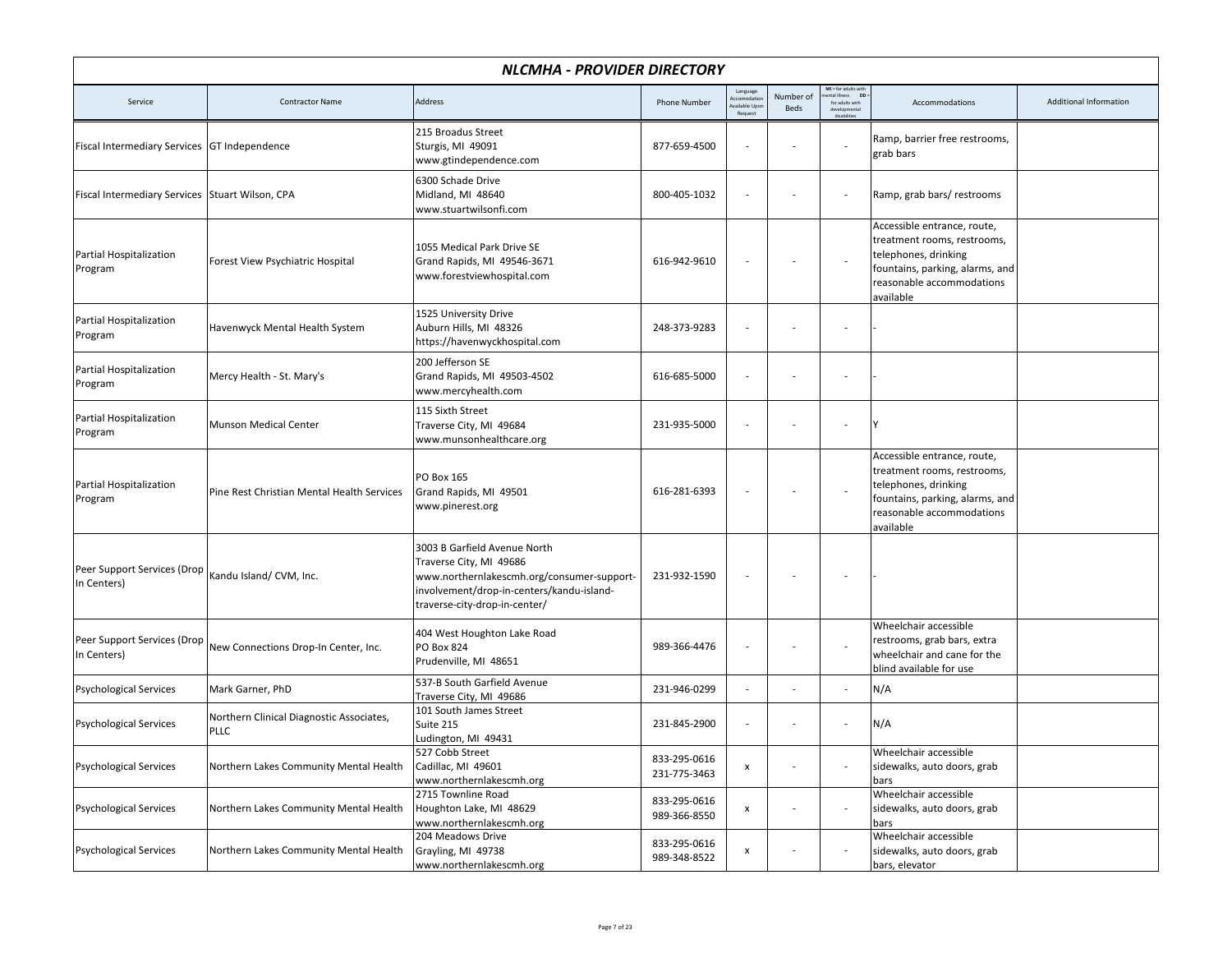| NLCMHA - PROVIDER DIRECTORY                       |                                                  |                                                                                                                                                                                     |                              |                                                   |                   |                                                                           |                                                                                                                                                                 |                        |  |  |
|---------------------------------------------------|--------------------------------------------------|-------------------------------------------------------------------------------------------------------------------------------------------------------------------------------------|------------------------------|---------------------------------------------------|-------------------|---------------------------------------------------------------------------|-----------------------------------------------------------------------------------------------------------------------------------------------------------------|------------------------|--|--|
| Service                                           | <b>Contractor Name</b>                           | <b>Address</b>                                                                                                                                                                      | <b>Phone Number</b>          | Language<br>ccomodatio<br>vailable Upo<br>Request | Number of<br>Beds | MI = for adults with<br>ntal illness DD<br>for adults with<br>dirabilitie | Accommodations                                                                                                                                                  | Additional Information |  |  |
| Fiscal Intermediary Services GT Independence      |                                                  | 215 Broadus Street<br>Sturgis, MI 49091<br>www.gtindependence.com                                                                                                                   | 877-659-4500                 |                                                   |                   |                                                                           | Ramp, barrier free restrooms,<br>grab bars                                                                                                                      |                        |  |  |
| Fiscal Intermediary Services   Stuart Wilson, CPA |                                                  | 6300 Schade Drive<br>Midland, MI 48640<br>www.stuartwilsonfi.com                                                                                                                    | 800-405-1032                 | $\overline{\phantom{a}}$                          |                   | $\sim$                                                                    | Ramp, grab bars/restrooms                                                                                                                                       |                        |  |  |
| Partial Hospitalization<br>Program                | Forest View Psychiatric Hospital                 | 1055 Medical Park Drive SE<br>Grand Rapids, MI 49546-3671<br>www.forestviewhospital.com                                                                                             | 616-942-9610                 | $\overline{a}$                                    |                   | $\overline{\phantom{a}}$                                                  | Accessible entrance, route,<br>treatment rooms, restrooms,<br>telephones, drinking<br>fountains, parking, alarms, and<br>reasonable accommodations<br>available |                        |  |  |
| Partial Hospitalization<br>Program                | Havenwyck Mental Health System                   | 1525 University Drive<br>Auburn Hills, MI 48326<br>https://havenwyckhospital.com                                                                                                    | 248-373-9283                 | $\overline{a}$                                    |                   | $\sim$                                                                    |                                                                                                                                                                 |                        |  |  |
| Partial Hospitalization<br>Program                | Mercy Health - St. Mary's                        | 200 Jefferson SE<br>Grand Rapids, MI 49503-4502<br>www.mercyhealth.com                                                                                                              | 616-685-5000                 | $\overline{a}$                                    |                   |                                                                           |                                                                                                                                                                 |                        |  |  |
| Partial Hospitalization<br>Program                | <b>Munson Medical Center</b>                     | 115 Sixth Street<br>Traverse City, MI 49684<br>www.munsonhealthcare.org                                                                                                             | 231-935-5000                 |                                                   |                   | $\sim$                                                                    | Υ                                                                                                                                                               |                        |  |  |
| Partial Hospitalization<br>Program                | Pine Rest Christian Mental Health Services       | PO Box 165<br>Grand Rapids, MI 49501<br>www.pinerest.org                                                                                                                            | 616-281-6393                 |                                                   |                   |                                                                           | Accessible entrance, route,<br>treatment rooms, restrooms,<br>telephones, drinking<br>fountains, parking, alarms, and<br>reasonable accommodations<br>available |                        |  |  |
| Peer Support Services (Drop<br>In Centers)        | Kandu Island/ CVM, Inc.                          | 3003 B Garfield Avenue North<br>Traverse City, MI 49686<br>www.northernlakescmh.org/consumer-support-<br>involvement/drop-in-centers/kandu-island-<br>traverse-city-drop-in-center/ | 231-932-1590                 |                                                   |                   |                                                                           |                                                                                                                                                                 |                        |  |  |
| Peer Support Services (Drop<br>In Centers)        | New Connections Drop-In Center, Inc.             | 404 West Houghton Lake Road<br>PO Box 824<br>Prudenville, MI 48651                                                                                                                  | 989-366-4476                 | $\overline{a}$                                    |                   | $\overline{\phantom{a}}$                                                  | Wheelchair accessible<br>restrooms, grab bars, extra<br>wheelchair and cane for the<br>blind available for use                                                  |                        |  |  |
| <b>Psychological Services</b>                     | Mark Garner, PhD                                 | 537-B South Garfield Avenue<br>Traverse City, MI 49686                                                                                                                              | 231-946-0299                 | $\overline{a}$                                    |                   | $\sim$                                                                    | N/A                                                                                                                                                             |                        |  |  |
| <b>Psychological Services</b>                     | Northern Clinical Diagnostic Associates,<br>PLLC | 101 South James Street<br>Suite 215<br>Ludington, MI 49431                                                                                                                          | 231-845-2900                 |                                                   |                   | $\overline{\phantom{a}}$                                                  | N/A                                                                                                                                                             |                        |  |  |
| <b>Psychological Services</b>                     | Northern Lakes Community Mental Health           | 527 Cobb Street<br>Cadillac, MI 49601<br>www.northernlakescmh.org                                                                                                                   | 833-295-0616<br>231-775-3463 | $\pmb{\mathsf{x}}$                                |                   | $\overline{\phantom{a}}$                                                  | Wheelchair accessible<br>sidewalks, auto doors, grab<br>bars                                                                                                    |                        |  |  |
| <b>Psychological Services</b>                     | Northern Lakes Community Mental Health           | 2715 Townline Road<br>Houghton Lake, MI 48629<br>www.northernlakescmh.org                                                                                                           | 833-295-0616<br>989-366-8550 | $\pmb{\mathsf{x}}$                                |                   |                                                                           | Wheelchair accessible<br>sidewalks, auto doors, grab<br>bars                                                                                                    |                        |  |  |
| <b>Psychological Services</b>                     | Northern Lakes Community Mental Health           | 204 Meadows Drive<br>Grayling, MI 49738<br>www.northernlakescmh.org                                                                                                                 | 833-295-0616<br>989-348-8522 | x                                                 |                   | $\sim$                                                                    | Wheelchair accessible<br>sidewalks, auto doors, grab<br>bars, elevator                                                                                          |                        |  |  |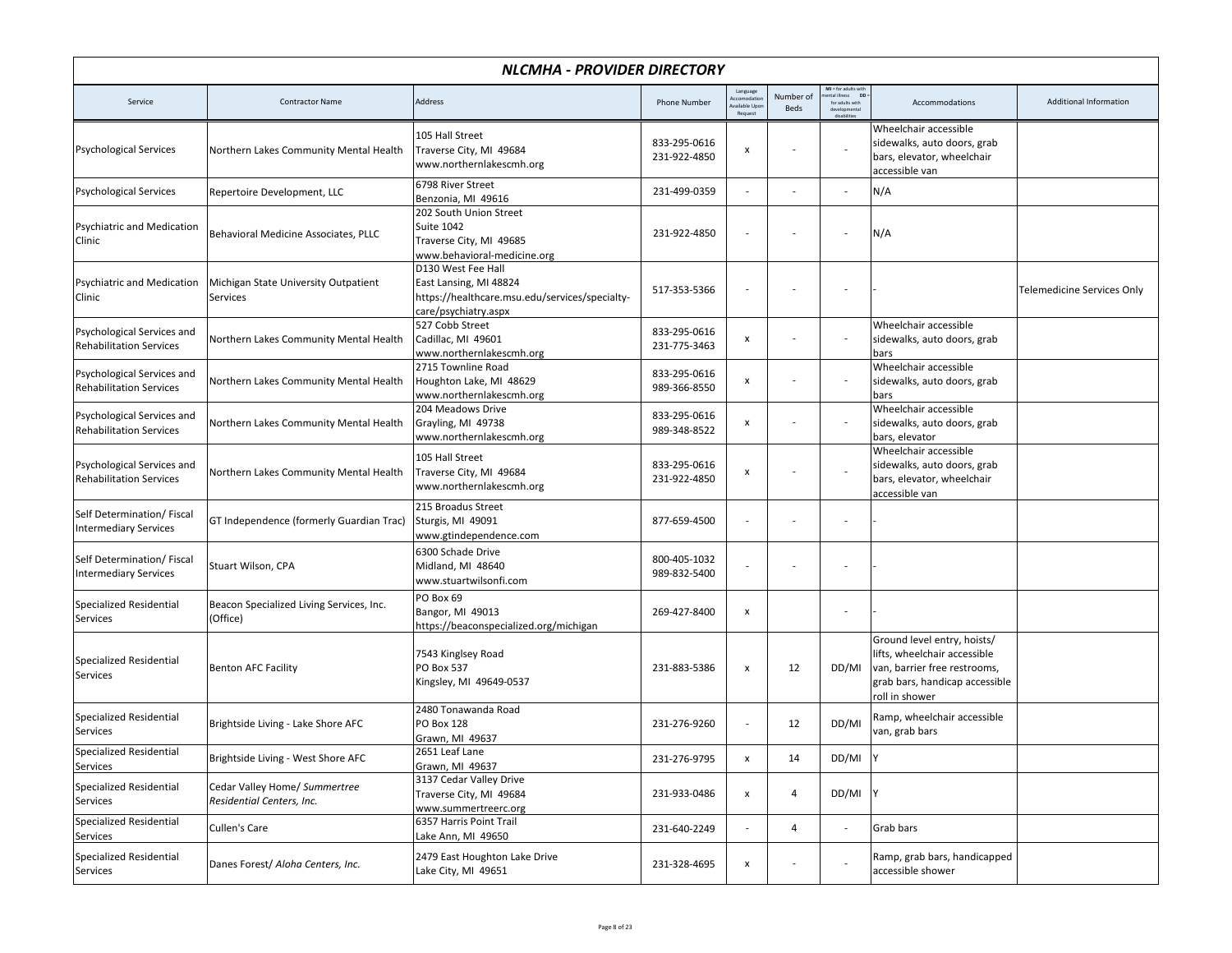| NLCMHA - PROVIDER DIRECTORY                                  |                                                            |                                                                                                                        |                              |                                                   |                   |                                                                |                                                                                                                                                 |                                   |  |
|--------------------------------------------------------------|------------------------------------------------------------|------------------------------------------------------------------------------------------------------------------------|------------------------------|---------------------------------------------------|-------------------|----------------------------------------------------------------|-------------------------------------------------------------------------------------------------------------------------------------------------|-----------------------------------|--|
| Service                                                      | <b>Contractor Name</b>                                     | Address                                                                                                                | <b>Phone Number</b>          | Language<br>ccomodatio<br>wailable Upo<br>Request | Number of<br>Beds | MI = for adults with<br>DD:<br>ntal illness<br>for adults with | Accommodations                                                                                                                                  | Additional Information            |  |
| <b>Psychological Services</b>                                | Northern Lakes Community Mental Health                     | 105 Hall Street<br>Traverse City, MI 49684<br>www.northernlakescmh.org                                                 | 833-295-0616<br>231-922-4850 | x                                                 |                   |                                                                | Wheelchair accessible<br>sidewalks, auto doors, grab<br>bars, elevator, wheelchair<br>accessible van                                            |                                   |  |
| <b>Psychological Services</b>                                | Repertoire Development, LLC                                | 6798 River Street<br>Benzonia, MI 49616                                                                                | 231-499-0359                 | $\overline{\phantom{m}}$                          |                   | $\overline{\phantom{a}}$                                       | N/A                                                                                                                                             |                                   |  |
| Psychiatric and Medication<br>Clinic                         | Behavioral Medicine Associates, PLLC                       | 202 South Union Street<br>Suite 1042<br>Traverse City, MI 49685<br>www.behavioral-medicine.org                         | 231-922-4850                 | $\overline{\phantom{a}}$                          |                   | ÷,                                                             | N/A                                                                                                                                             |                                   |  |
| Psychiatric and Medication<br>Clinic                         | Michigan State University Outpatient<br>Services           | D130 West Fee Hall<br>East Lansing, MI 48824<br>https://healthcare.msu.edu/services/specialty-<br>care/psychiatry.aspx | 517-353-5366                 | $\overline{\phantom{a}}$                          |                   | $\overline{\phantom{a}}$                                       |                                                                                                                                                 | <b>Telemedicine Services Only</b> |  |
| Psychological Services and<br><b>Rehabilitation Services</b> | Northern Lakes Community Mental Health                     | 527 Cobb Street<br>Cadillac, MI 49601<br>www.northernlakescmh.org                                                      | 833-295-0616<br>231-775-3463 | $\pmb{\mathsf{x}}$                                |                   | $\overline{\phantom{a}}$                                       | Wheelchair accessible<br>sidewalks, auto doors, grab<br>bars                                                                                    |                                   |  |
| Psychological Services and<br><b>Rehabilitation Services</b> | Northern Lakes Community Mental Health                     | 2715 Townline Road<br>Houghton Lake, MI 48629<br>www.northernlakescmh.org                                              | 833-295-0616<br>989-366-8550 | $\mathsf{x}$                                      |                   |                                                                | Wheelchair accessible<br>sidewalks, auto doors, grab<br>bars                                                                                    |                                   |  |
| Psychological Services and<br><b>Rehabilitation Services</b> | Northern Lakes Community Mental Health                     | 204 Meadows Drive<br>Grayling, MI 49738<br>www.northernlakescmh.org                                                    | 833-295-0616<br>989-348-8522 | x                                                 |                   |                                                                | Wheelchair accessible<br>sidewalks, auto doors, grab<br>bars, elevator                                                                          |                                   |  |
| Psychological Services and<br><b>Rehabilitation Services</b> | Northern Lakes Community Mental Health                     | 105 Hall Street<br>Traverse City, MI 49684<br>www.northernlakescmh.org                                                 | 833-295-0616<br>231-922-4850 | $\pmb{\mathsf{x}}$                                |                   |                                                                | Wheelchair accessible<br>sidewalks, auto doors, grab<br>bars, elevator, wheelchair<br>accessible van                                            |                                   |  |
| Self Determination/Fiscal<br><b>Intermediary Services</b>    | GT Independence (formerly Guardian Trac)                   | 215 Broadus Street<br>Sturgis, MI 49091<br>www.gtindependence.com                                                      | 877-659-4500                 |                                                   |                   |                                                                |                                                                                                                                                 |                                   |  |
| Self Determination/ Fiscal<br><b>Intermediary Services</b>   | Stuart Wilson, CPA                                         | 6300 Schade Drive<br>Midland, MI 48640<br>www.stuartwilsonfi.com                                                       | 800-405-1032<br>989-832-5400 |                                                   |                   |                                                                |                                                                                                                                                 |                                   |  |
| Specialized Residential<br>Services                          | Beacon Specialized Living Services, Inc.<br>(Office)       | PO Box 69<br>Bangor, MI 49013<br>https://beaconspecialized.org/michigan                                                | 269-427-8400                 | $\pmb{\mathsf{x}}$                                |                   | ÷,                                                             |                                                                                                                                                 |                                   |  |
| <b>Specialized Residential</b><br>Services                   | <b>Benton AFC Facility</b>                                 | 7543 Kinglsey Road<br>PO Box 537<br>Kingsley, MI 49649-0537                                                            | 231-883-5386                 | $\pmb{\chi}$                                      | 12                | DD/MI                                                          | Ground level entry, hoists/<br>lifts, wheelchair accessible<br>van, barrier free restrooms,<br>grab bars, handicap accessible<br>roll in shower |                                   |  |
| Specialized Residential<br>Services                          | Brightside Living - Lake Shore AFC                         | 2480 Tonawanda Road<br>PO Box 128<br>Grawn, MI 49637                                                                   | 231-276-9260                 |                                                   | 12                | DD/MI                                                          | Ramp, wheelchair accessible<br>van, grab bars                                                                                                   |                                   |  |
| Specialized Residential<br>Services                          | Brightside Living - West Shore AFC                         | 2651 Leaf Lane<br>Grawn, MI 49637                                                                                      | 231-276-9795                 | $\mathsf{x}$                                      | 14                | DD/MI Y                                                        |                                                                                                                                                 |                                   |  |
| Specialized Residential<br>Services                          | Cedar Valley Home/ Summertree<br>Residential Centers, Inc. | 3137 Cedar Valley Drive<br>Traverse City, MI 49684<br>www.summertreerc.org                                             | 231-933-0486                 | $\mathsf{x}$                                      | $\overline{4}$    | DD/MI Y                                                        |                                                                                                                                                 |                                   |  |
| Specialized Residential<br>Services                          | Cullen's Care                                              | 6357 Harris Point Trail<br>Lake Ann, MI 49650                                                                          | 231-640-2249                 |                                                   | 4                 | $\overline{\phantom{a}}$                                       | Grab bars                                                                                                                                       |                                   |  |
| Specialized Residential<br>Services                          | Danes Forest/ Aloha Centers, Inc.                          | 2479 East Houghton Lake Drive<br>Lake City, MI 49651                                                                   | 231-328-4695                 | $\pmb{\mathsf{x}}$                                |                   |                                                                | Ramp, grab bars, handicapped<br>accessible shower                                                                                               |                                   |  |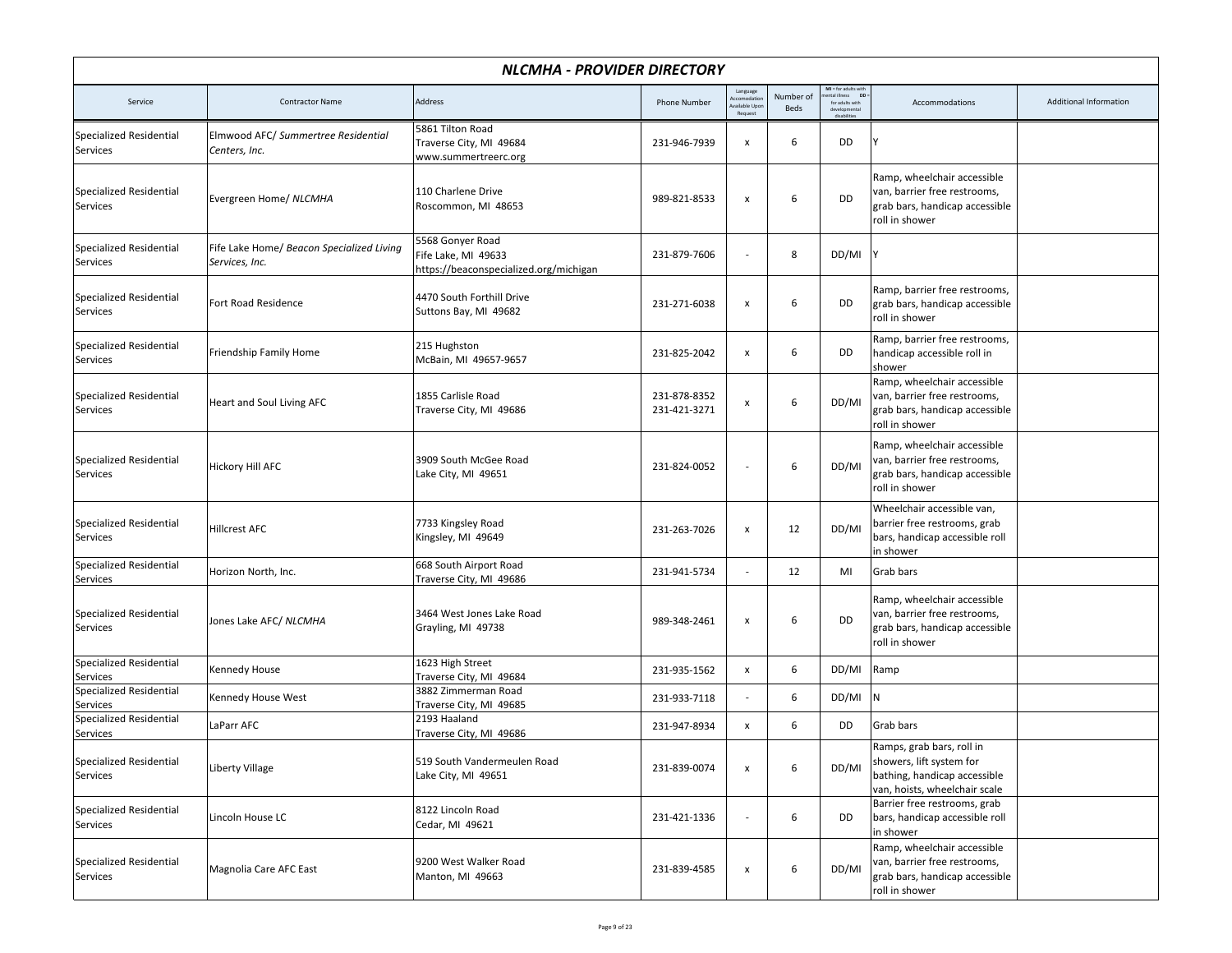| NLCMHA - PROVIDER DIRECTORY                |                                                             |                                                                                   |                              |                                                   |                          |                                                                                                       |                                                                                                                        |                        |  |  |
|--------------------------------------------|-------------------------------------------------------------|-----------------------------------------------------------------------------------|------------------------------|---------------------------------------------------|--------------------------|-------------------------------------------------------------------------------------------------------|------------------------------------------------------------------------------------------------------------------------|------------------------|--|--|
| Service                                    | <b>Contractor Name</b>                                      | Address                                                                           | <b>Phone Number</b>          | Language<br>ccomodatio<br>vailable Upo<br>Request | Number of<br><b>Beds</b> | MI = for adults with<br>nental illness DD :<br>ntal illness<br>for adults with<br>deve<br>disabilitie | Accommodations                                                                                                         | Additional Information |  |  |
| <b>Specialized Residential</b><br>Services | Elmwood AFC/ Summertree Residential<br>Centers, Inc.        | 5861 Tilton Road<br>Traverse City, MI 49684<br>www.summertreerc.org               | 231-946-7939                 | $\pmb{\mathsf{x}}$                                | 6                        | DD                                                                                                    |                                                                                                                        |                        |  |  |
| <b>Specialized Residential</b><br>Services | Evergreen Home/ NLCMHA                                      | 110 Charlene Drive<br>Roscommon, MI 48653                                         | 989-821-8533                 | $\pmb{\mathsf{x}}$                                | 6                        | DD                                                                                                    | Ramp, wheelchair accessible<br>van, barrier free restrooms,<br>grab bars, handicap accessible<br>roll in shower        |                        |  |  |
| <b>Specialized Residential</b><br>Services | Fife Lake Home/ Beacon Specialized Living<br>Services, Inc. | 5568 Gonyer Road<br>Fife Lake, MI 49633<br>https://beaconspecialized.org/michigan | 231-879-7606                 | $\overline{a}$                                    | 8                        | DD/MI                                                                                                 |                                                                                                                        |                        |  |  |
| Specialized Residential<br>Services        | Fort Road Residence                                         | 4470 South Forthill Drive<br>Suttons Bay, MI 49682                                | 231-271-6038                 | $\pmb{\mathsf{x}}$                                | 6                        | DD                                                                                                    | Ramp, barrier free restrooms,<br>grab bars, handicap accessible<br>roll in shower                                      |                        |  |  |
| <b>Specialized Residential</b><br>Services | Friendship Family Home                                      | 215 Hughston<br>McBain, MI 49657-9657                                             | 231-825-2042                 | x                                                 | 6                        | DD                                                                                                    | Ramp, barrier free restrooms,<br>handicap accessible roll in<br>shower                                                 |                        |  |  |
| <b>Specialized Residential</b><br>Services | Heart and Soul Living AFC                                   | 1855 Carlisle Road<br>Traverse City, MI 49686                                     | 231-878-8352<br>231-421-3271 | $\pmb{\mathsf{x}}$                                | 6                        | DD/MI                                                                                                 | Ramp, wheelchair accessible<br>van, barrier free restrooms,<br>grab bars, handicap accessible<br>roll in shower        |                        |  |  |
| Specialized Residential<br>Services        | <b>Hickory Hill AFC</b>                                     | 3909 South McGee Road<br>Lake City, MI 49651                                      | 231-824-0052                 | $\overline{a}$                                    | 6                        | DD/MI                                                                                                 | Ramp, wheelchair accessible<br>van, barrier free restrooms,<br>grab bars, handicap accessible<br>roll in shower        |                        |  |  |
| <b>Specialized Residential</b><br>Services | <b>Hillcrest AFC</b>                                        | 7733 Kingsley Road<br>Kingsley, MI 49649                                          | 231-263-7026                 | X                                                 | 12                       | DD/MI                                                                                                 | Wheelchair accessible van,<br>barrier free restrooms, grab<br>bars, handicap accessible roll<br>in shower              |                        |  |  |
| Specialized Residential<br>Services        | Horizon North, Inc.                                         | 668 South Airport Road<br>Traverse City, MI 49686                                 | 231-941-5734                 | $\overline{a}$                                    | 12                       | MI                                                                                                    | Grab bars                                                                                                              |                        |  |  |
| Specialized Residential<br>Services        | Jones Lake AFC/ NLCMHA                                      | 3464 West Jones Lake Road<br>Grayling, MI 49738                                   | 989-348-2461                 | $\pmb{\mathsf{x}}$                                | 6                        | DD                                                                                                    | Ramp, wheelchair accessible<br>van, barrier free restrooms,<br>grab bars, handicap accessible<br>roll in shower        |                        |  |  |
| <b>Specialized Residential</b><br>Services | Kennedy House                                               | 1623 High Street<br>Traverse City, MI 49684                                       | 231-935-1562                 | x                                                 | 6                        | DD/MI                                                                                                 | Ramp                                                                                                                   |                        |  |  |
| Specialized Residential<br>Services        | Kennedy House West                                          | 3882 Zimmerman Road<br>Traverse City, MI 49685                                    | 231-933-7118                 |                                                   | 6                        | DD/MI                                                                                                 | N                                                                                                                      |                        |  |  |
| Specialized Residential<br>Services        | LaParr AFC                                                  | 2193 Haaland<br>Traverse City, MI 49686                                           | 231-947-8934                 | x                                                 | 6                        | DD                                                                                                    | Grab bars                                                                                                              |                        |  |  |
| Specialized Residential<br>Services        | <b>Liberty Village</b>                                      | 519 South Vandermeulen Road<br>Lake City, MI 49651                                | 231-839-0074                 | $\pmb{\mathsf{x}}$                                | 6                        | DD/MI                                                                                                 | Ramps, grab bars, roll in<br>showers, lift system for<br>bathing, handicap accessible<br>van, hoists, wheelchair scale |                        |  |  |
| <b>Specialized Residential</b><br>Services | Lincoln House LC                                            | 8122 Lincoln Road<br>Cedar, MI 49621                                              | 231-421-1336                 |                                                   | 6                        | DD                                                                                                    | Barrier free restrooms, grab<br>bars, handicap accessible roll<br>in shower                                            |                        |  |  |
| Specialized Residential<br>Services        | Magnolia Care AFC East                                      | 9200 West Walker Road<br>Manton, MI 49663                                         | 231-839-4585                 | $\pmb{\mathsf{x}}$                                | 6                        | DD/MI                                                                                                 | Ramp, wheelchair accessible<br>van, barrier free restrooms,<br>grab bars, handicap accessible<br>roll in shower        |                        |  |  |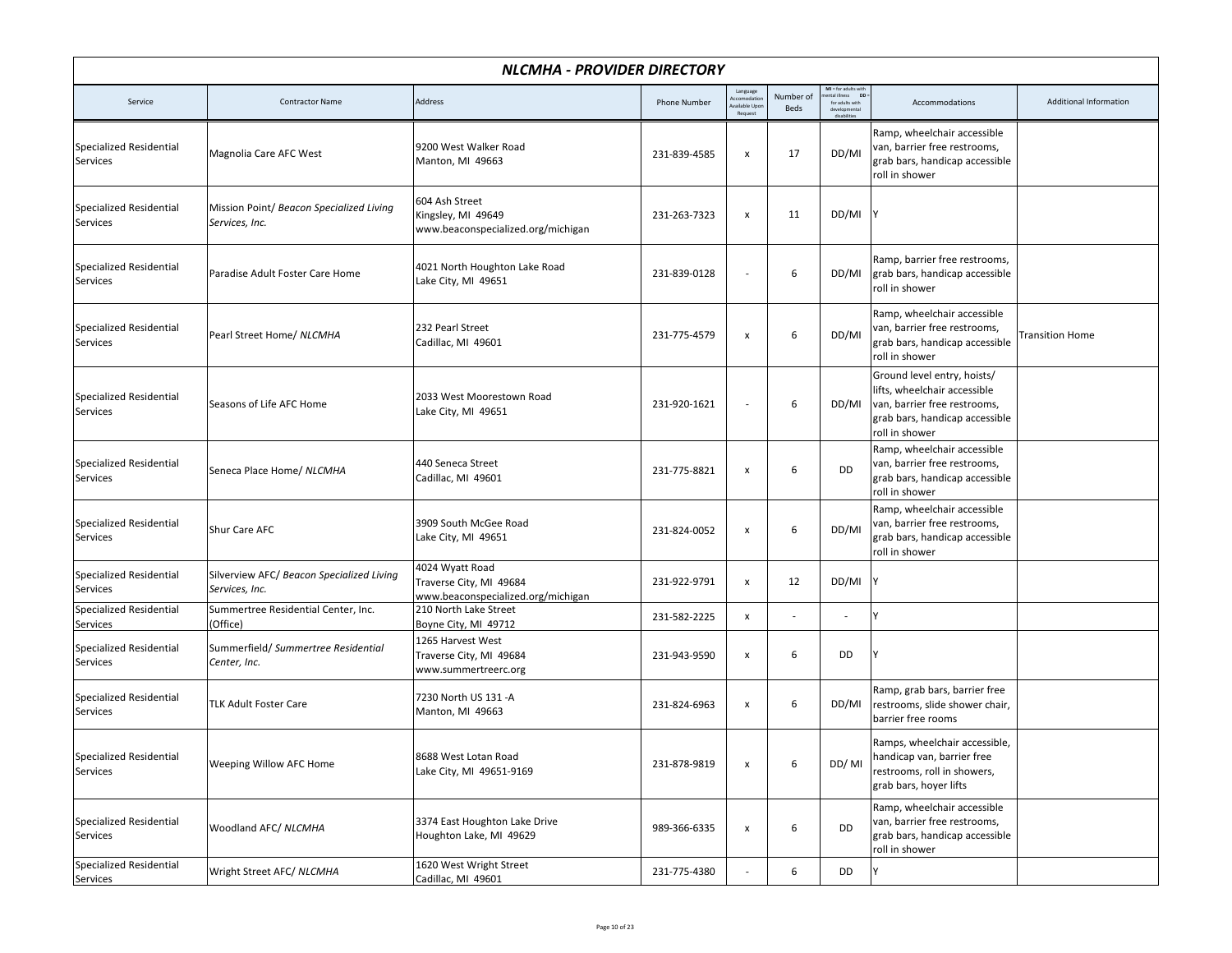|                                            | <b>NLCMHA - PROVIDER DIRECTORY</b>                          |                                                                                  |                     |                                                            |                          |                                                                        |                                                                                                                                                 |                        |  |  |  |
|--------------------------------------------|-------------------------------------------------------------|----------------------------------------------------------------------------------|---------------------|------------------------------------------------------------|--------------------------|------------------------------------------------------------------------|-------------------------------------------------------------------------------------------------------------------------------------------------|------------------------|--|--|--|
| Service                                    | <b>Contractor Name</b>                                      | Address                                                                          | <b>Phone Number</b> | Language<br><b>Accomodatio</b><br>wailable Upor<br>Request | Number of<br><b>Beds</b> | MI = for adults with<br>hental illness DD :<br>for adults with<br>deve | Accommodations                                                                                                                                  | Additional Information |  |  |  |
| Specialized Residential<br>Services        | Magnolia Care AFC West                                      | 9200 West Walker Road<br>Manton, MI 49663                                        | 231-839-4585        | $\pmb{\mathsf{x}}$                                         | 17                       | DD/MI                                                                  | Ramp, wheelchair accessible<br>van, barrier free restrooms,<br>grab bars, handicap accessible<br>roll in shower                                 |                        |  |  |  |
| <b>Specialized Residential</b><br>Services | Mission Point/ Beacon Specialized Living<br>Services, Inc.  | 604 Ash Street<br>Kingsley, MI 49649<br>www.beaconspecialized.org/michigan       | 231-263-7323        | $\pmb{\mathsf{x}}$                                         | 11                       | DD/MI                                                                  | IΥ                                                                                                                                              |                        |  |  |  |
| <b>Specialized Residential</b><br>Services | Paradise Adult Foster Care Home                             | 4021 North Houghton Lake Road<br>Lake City, MI 49651                             | 231-839-0128        |                                                            | 6                        | DD/MI                                                                  | Ramp, barrier free restrooms,<br>grab bars, handicap accessible<br>roll in shower                                                               |                        |  |  |  |
| <b>Specialized Residential</b><br>Services | Pearl Street Home/ NLCMHA                                   | 232 Pearl Street<br>Cadillac, MI 49601                                           | 231-775-4579        | $\pmb{\mathsf{x}}$                                         | 6                        | DD/MI                                                                  | Ramp, wheelchair accessible<br>van, barrier free restrooms,<br>grab bars, handicap accessible<br>roll in shower                                 | <b>Transition Home</b> |  |  |  |
| <b>Specialized Residential</b><br>Services | Seasons of Life AFC Home                                    | 2033 West Moorestown Road<br>Lake City, MI 49651                                 | 231-920-1621        |                                                            | 6                        | DD/MI                                                                  | Ground level entry, hoists/<br>lifts, wheelchair accessible<br>van, barrier free restrooms,<br>grab bars, handicap accessible<br>roll in shower |                        |  |  |  |
| <b>Specialized Residential</b><br>Services | Seneca Place Home/ NLCMHA                                   | 440 Seneca Street<br>Cadillac, MI 49601                                          | 231-775-8821        | $\pmb{\mathsf{x}}$                                         | 6                        | <b>DD</b>                                                              | Ramp, wheelchair accessible<br>van, barrier free restrooms,<br>grab bars, handicap accessible<br>roll in shower                                 |                        |  |  |  |
| <b>Specialized Residential</b><br>Services | Shur Care AFC                                               | 3909 South McGee Road<br>Lake City, MI 49651                                     | 231-824-0052        | $\pmb{\mathsf{x}}$                                         | 6                        | DD/MI                                                                  | Ramp, wheelchair accessible<br>van, barrier free restrooms,<br>grab bars, handicap accessible<br>roll in shower                                 |                        |  |  |  |
| Specialized Residential<br>Services        | Silverview AFC/ Beacon Specialized Living<br>Services, Inc. | 4024 Wyatt Road<br>Traverse City, MI 49684<br>www.beaconspecialized.org/michigan | 231-922-9791        | $\pmb{\mathsf{x}}$                                         | 12                       | DD/MI                                                                  |                                                                                                                                                 |                        |  |  |  |
| <b>Specialized Residential</b><br>Services | Summertree Residential Center, Inc.<br>(Office)             | 210 North Lake Street<br>Boyne City, MI 49712                                    | 231-582-2225        | $\pmb{\mathsf{x}}$                                         |                          |                                                                        | ٧                                                                                                                                               |                        |  |  |  |
| <b>Specialized Residential</b><br>Services | Summerfield/ Summertree Residential<br>Center, Inc.         | 1265 Harvest West<br>Traverse City, MI 49684<br>www.summertreerc.org             | 231-943-9590        | $\pmb{\mathsf{x}}$                                         | 6                        | DD                                                                     |                                                                                                                                                 |                        |  |  |  |
| <b>Specialized Residential</b><br>Services | <b>TLK Adult Foster Care</b>                                | 7230 North US 131 -A<br>Manton, MI 49663                                         | 231-824-6963        | $\pmb{\mathsf{x}}$                                         | 6                        | DD/MI                                                                  | Ramp, grab bars, barrier free<br>restrooms, slide shower chair,<br>barrier free rooms                                                           |                        |  |  |  |
| Specialized Residential<br>Services        | Weeping Willow AFC Home                                     | 8688 West Lotan Road<br>Lake City, MI 49651-9169                                 | 231-878-9819        | $\pmb{\mathsf{x}}$                                         | 6                        | DD/MI                                                                  | Ramps, wheelchair accessible,<br>handicap van, barrier free<br>restrooms, roll in showers,<br>grab bars, hoyer lifts                            |                        |  |  |  |
| Specialized Residential<br>Services        | Woodland AFC/ NLCMHA                                        | 3374 East Houghton Lake Drive<br>Houghton Lake, MI 49629                         | 989-366-6335        | $\pmb{\mathsf{x}}$                                         | 6                        | <b>DD</b>                                                              | Ramp, wheelchair accessible<br>van, barrier free restrooms,<br>grab bars, handicap accessible<br>roll in shower                                 |                        |  |  |  |
| Specialized Residential<br>Services        | Wright Street AFC/ NLCMHA                                   | 1620 West Wright Street<br>Cadillac, MI 49601                                    | 231-775-4380        |                                                            | 6                        | DD                                                                     |                                                                                                                                                 |                        |  |  |  |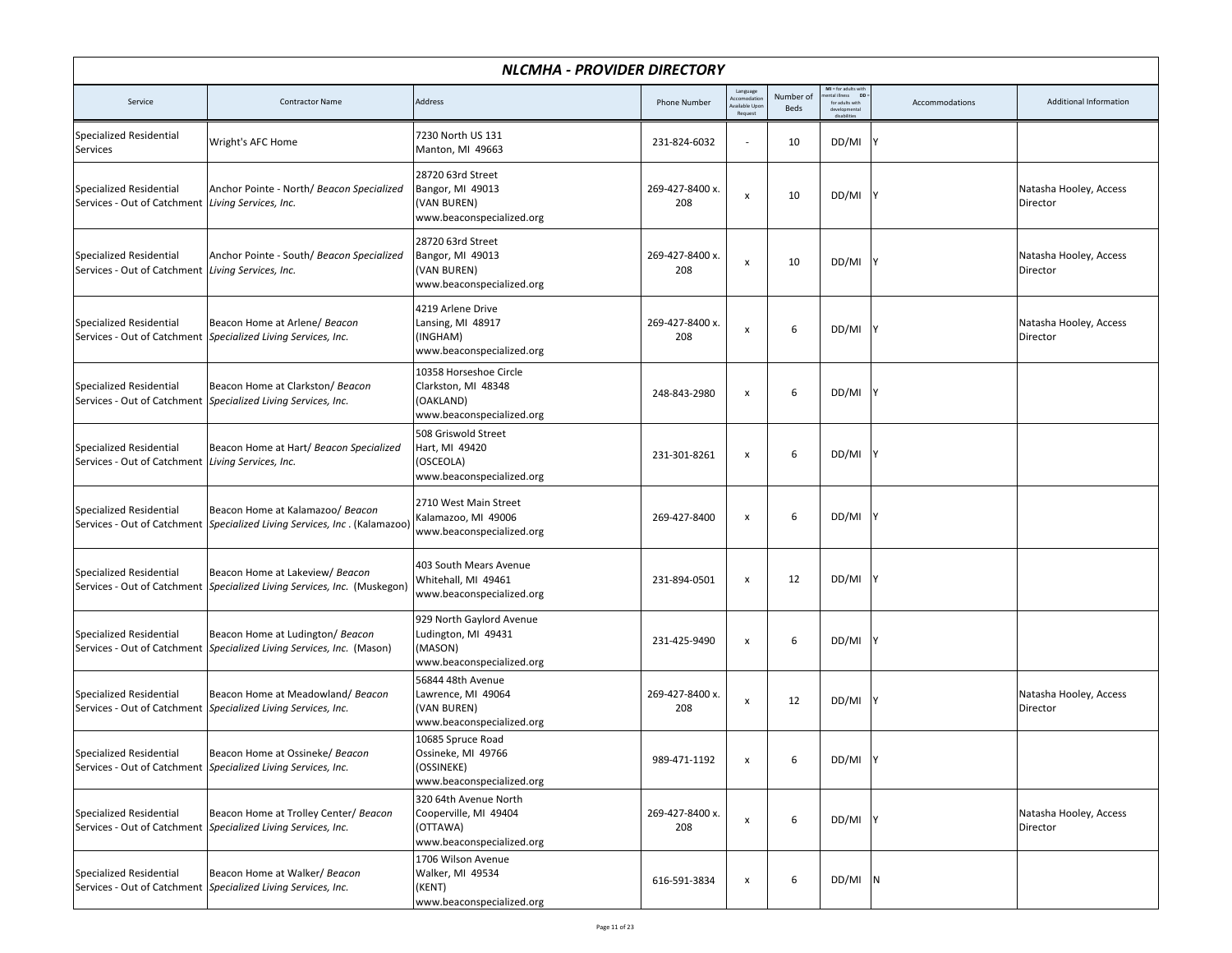|                                                                                     | <b>NLCMHA - PROVIDER DIRECTORY</b>                                                                              |                                                                                         |                        |                                                   |                          |                                                              |                |                                    |  |  |  |
|-------------------------------------------------------------------------------------|-----------------------------------------------------------------------------------------------------------------|-----------------------------------------------------------------------------------------|------------------------|---------------------------------------------------|--------------------------|--------------------------------------------------------------|----------------|------------------------------------|--|--|--|
| Service                                                                             | <b>Contractor Name</b>                                                                                          | Address                                                                                 | Phone Number           | Language<br>ccomodatio<br>vailable Upd<br>Request | Number of<br><b>Beds</b> | MI = for adults with<br>ntal illness DD =<br>for adults with | Accommodations | Additional Information             |  |  |  |
| Specialized Residential<br>Services                                                 | Wright's AFC Home                                                                                               | 7230 North US 131<br>Manton, MI 49663                                                   | 231-824-6032           | $\overline{\phantom{a}}$                          | 10                       | DD/MI                                                        |                |                                    |  |  |  |
| <b>Specialized Residential</b><br>Services - Out of Catchment Living Services, Inc. | Anchor Pointe - North/ Beacon Specialized                                                                       | 28720 63rd Street<br>Bangor, MI 49013<br>(VAN BUREN)<br>www.beaconspecialized.org       | 269-427-8400 x.<br>208 | $\boldsymbol{\mathsf{x}}$                         | 10                       | DD/MI Y                                                      |                | Natasha Hooley, Access<br>Director |  |  |  |
| <b>Specialized Residential</b><br>Services - Out of Catchment Living Services, Inc. | Anchor Pointe - South/ Beacon Specialized                                                                       | 28720 63rd Street<br>Bangor, MI 49013<br>(VAN BUREN)<br>www.beaconspecialized.org       | 269-427-8400 x.<br>208 | X                                                 | 10                       | DD/MI                                                        |                | Natasha Hooley, Access<br>Director |  |  |  |
| <b>Specialized Residential</b>                                                      | Beacon Home at Arlene/ Beacon<br>Services - Out of Catchment Specialized Living Services, Inc.                  | 4219 Arlene Drive<br>Lansing, MI 48917<br>(INGHAM)<br>www.beaconspecialized.org         | 269-427-8400 x.<br>208 | x                                                 | 6                        | DD/MI                                                        |                | Natasha Hooley, Access<br>Director |  |  |  |
| <b>Specialized Residential</b>                                                      | Beacon Home at Clarkston/ Beacon<br>Services - Out of Catchment Specialized Living Services, Inc.               | 10358 Horseshoe Circle<br>Clarkston, MI 48348<br>(OAKLAND)<br>www.beaconspecialized.org | 248-843-2980           | $\pmb{\times}$                                    | 6                        | DD/MI                                                        | 1Y             |                                    |  |  |  |
| <b>Specialized Residential</b><br>Services - Out of Catchment Living Services, Inc. | Beacon Home at Hart/ Beacon Specialized                                                                         | 508 Griswold Street<br>Hart, MI 49420<br>(OSCEOLA)<br>www.beaconspecialized.org         | 231-301-8261           | x                                                 | 6                        | DD/MI                                                        | - IY           |                                    |  |  |  |
| <b>Specialized Residential</b>                                                      | Beacon Home at Kalamazoo/ Beacon<br>Services - Out of Catchment   Specialized Living Services, Inc. (Kalamazoo) | 2710 West Main Street<br>Kalamazoo, MI 49006<br>www.beaconspecialized.org               | 269-427-8400           | $\pmb{\times}$                                    | 6                        | DD/MI                                                        |                |                                    |  |  |  |
| <b>Specialized Residential</b>                                                      | Beacon Home at Lakeview/ Beacon<br>Services - Out of Catchment   Specialized Living Services, Inc. (Muskegon)   | 403 South Mears Avenue<br>Whitehall, MI 49461<br>www.beaconspecialized.org              | 231-894-0501           | $\pmb{\times}$                                    | 12                       | DD/MI Y                                                      |                |                                    |  |  |  |
| Specialized Residential                                                             | Beacon Home at Ludington/ Beacon<br>Services - Out of Catchment Specialized Living Services, Inc. (Mason)       | 929 North Gaylord Avenue<br>Ludington, MI 49431<br>(MASON)<br>www.beaconspecialized.org | 231-425-9490           | x                                                 | 6                        | DD/MI                                                        |                |                                    |  |  |  |
| <b>Specialized Residential</b>                                                      | Beacon Home at Meadowland/ Beacon<br>Services - Out of Catchment Specialized Living Services, Inc.              | 56844 48th Avenue<br>Lawrence, MI 49064<br>(VAN BUREN)<br>www.beaconspecialized.org     | 269-427-8400 x.<br>208 | x                                                 | 12                       | DD/MI                                                        | <b>IY</b>      | Natasha Hooley, Access<br>Director |  |  |  |
| Specialized Residential                                                             | Beacon Home at Ossineke/ Beacon<br>Services - Out of Catchment Specialized Living Services, Inc.                | 10685 Spruce Road<br>Ossineke, MI 49766<br>(OSSINEKE)<br>www.beaconspecialized.org      | 989-471-1192           | $\pmb{\mathsf{x}}$                                | 6                        | DD/MI Y                                                      |                |                                    |  |  |  |
| Specialized Residential                                                             | Beacon Home at Trolley Center/ Beacon<br>Services - Out of Catchment Specialized Living Services, Inc.          | 320 64th Avenue North<br>Cooperville, MI 49404<br>(OTTAWA)<br>www.beaconspecialized.org | 269-427-8400 x.<br>208 | $\pmb{\times}$                                    | 6                        | DD/MI Y                                                      |                | Natasha Hooley, Access<br>Director |  |  |  |
| Specialized Residential                                                             | Beacon Home at Walker/ Beacon<br>Services - Out of Catchment Specialized Living Services, Inc.                  | 1706 Wilson Avenue<br>Walker, MI 49534<br>(KENT)<br>www.beaconspecialized.org           | 616-591-3834           | $\pmb{\times}$                                    | 6                        | DD/MIN                                                       |                |                                    |  |  |  |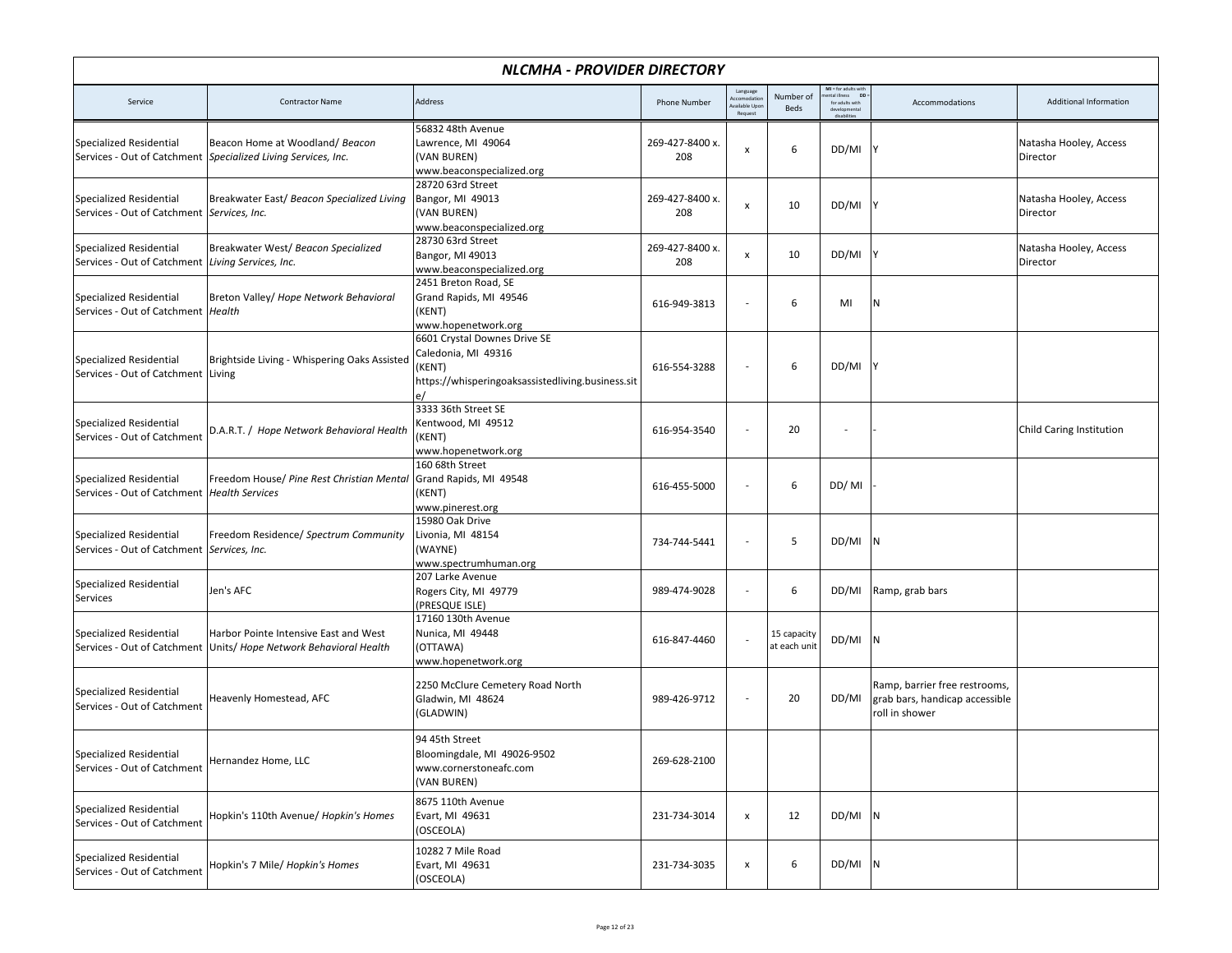| NLCMHA - PROVIDER DIRECTORY                                                     |                                                                                                              |                                                                                                                    |                        |                                                   |                             |                                                              |                                                                                   |                                    |  |  |
|---------------------------------------------------------------------------------|--------------------------------------------------------------------------------------------------------------|--------------------------------------------------------------------------------------------------------------------|------------------------|---------------------------------------------------|-----------------------------|--------------------------------------------------------------|-----------------------------------------------------------------------------------|------------------------------------|--|--|
| Service                                                                         | <b>Contractor Name</b>                                                                                       | Address                                                                                                            | <b>Phone Number</b>    | Language<br>ccomodatio<br>vailable Upo<br>Request | Number of<br><b>Beds</b>    | MI = for adults with<br>ntal illness DD :<br>for adults with | Accommodations                                                                    | <b>Additional Information</b>      |  |  |
| <b>Specialized Residential</b>                                                  | Beacon Home at Woodland/Beacon<br>Services - Out of Catchment Specialized Living Services, Inc.              | 56832 48th Avenue<br>Lawrence, MI 49064<br>(VAN BUREN)<br>www.beaconspecialized.org                                | 269-427-8400 x.<br>208 | X                                                 | 6                           | DD/MI                                                        |                                                                                   | Natasha Hooley, Access<br>Director |  |  |
| <b>Specialized Residential</b><br>Services - Out of Catchment   Services, Inc.  | Breakwater East/ Beacon Specialized Living                                                                   | 28720 63rd Street<br>Bangor, MI 49013<br>(VAN BUREN)<br>www.beaconspecialized.org                                  | 269-427-8400 x.<br>208 | $\boldsymbol{\mathsf{x}}$                         | 10                          | DD/MI                                                        |                                                                                   | Natasha Hooley, Access<br>Director |  |  |
| <b>Specialized Residential</b><br>Services - Out of Catchment                   | Breakwater West/Beacon Specialized<br>Living Services, Inc.                                                  | 28730 63rd Street<br>Bangor, MI 49013<br>www.beaconspecialized.org                                                 | 269-427-8400 x.<br>208 | $\pmb{\mathsf{x}}$                                | 10                          | DD/MI                                                        |                                                                                   | Natasha Hooley, Access<br>Director |  |  |
| <b>Specialized Residential</b><br>Services - Out of Catchment   Health          | Breton Valley/ Hope Network Behavioral                                                                       | 2451 Breton Road, SE<br>Grand Rapids, MI 49546<br>(KENT)<br>www.hopenetwork.org                                    | 616-949-3813           |                                                   | 6                           | MI                                                           | N                                                                                 |                                    |  |  |
| <b>Specialized Residential</b><br>Services - Out of Catchment Living            | Brightside Living - Whispering Oaks Assisted                                                                 | 6601 Crystal Downes Drive SE<br>Caledonia, MI 49316<br>(KENT)<br>https://whisperingoaksassistedliving.business.sit | 616-554-3288           | $\overline{\phantom{a}}$                          | 6                           | DD/MI                                                        |                                                                                   |                                    |  |  |
| <b>Specialized Residential</b><br>Services - Out of Catchment                   | D.A.R.T. / Hope Network Behavioral Health                                                                    | 3333 36th Street SE<br>Kentwood, MI 49512<br>(KENT)<br>www.hopenetwork.org                                         | 616-954-3540           |                                                   | 20                          | $\overline{\phantom{a}}$                                     |                                                                                   | Child Caring Institution           |  |  |
| <b>Specialized Residential</b><br>Services - Out of Catchment   Health Services | Freedom House/ Pine Rest Christian Mental                                                                    | 160 68th Street<br>Grand Rapids, MI 49548<br>(KENT)<br>www.pinerest.org                                            | 616-455-5000           |                                                   | 6                           | DD/MI                                                        |                                                                                   |                                    |  |  |
| <b>Specialized Residential</b><br>Services - Out of Catchment   Services, Inc.  | Freedom Residence/ Spectrum Community                                                                        | 15980 Oak Drive<br>Livonia, MI 48154<br>(WAYNE)<br>www.spectrumhuman.org                                           | 734-744-5441           | $\overline{\phantom{a}}$                          | 5                           | DD/MI                                                        | $\mathsf{IN}$                                                                     |                                    |  |  |
| Specialized Residential<br>Services                                             | Jen's AFC                                                                                                    | 207 Larke Avenue<br>Rogers City, MI 49779<br>(PRESQUE ISLE)                                                        | 989-474-9028           | $\overline{\phantom{a}}$                          | 6                           | DD/MI                                                        | Ramp, grab bars                                                                   |                                    |  |  |
| <b>Specialized Residential</b>                                                  | Harbor Pointe Intensive East and West<br>Services - Out of Catchment   Units/ Hope Network Behavioral Health | 17160 130th Avenue<br>Nunica, MI 49448<br>(OTTAWA)<br>www.hopenetwork.org                                          | 616-847-4460           |                                                   | 15 capacity<br>at each unit | DD/MI                                                        |                                                                                   |                                    |  |  |
| <b>Specialized Residential</b><br>Services - Out of Catchment                   | Heavenly Homestead, AFC                                                                                      | 2250 McClure Cemetery Road North<br>Gladwin, MI 48624<br>(GLADWIN)                                                 | 989-426-9712           | $\overline{\phantom{a}}$                          | 20                          | DD/MI                                                        | Ramp, barrier free restrooms,<br>grab bars, handicap accessible<br>roll in shower |                                    |  |  |
| Specialized Residential<br>Services - Out of Catchment                          | Hernandez Home, LLC                                                                                          | 94 45th Street<br>Bloomingdale, MI 49026-9502<br>www.cornerstoneafc.com<br>(VAN BUREN)                             | 269-628-2100           |                                                   |                             |                                                              |                                                                                   |                                    |  |  |
| <b>Specialized Residential</b><br>Services - Out of Catchment                   | Hopkin's 110th Avenue/ Hopkin's Homes                                                                        | 8675 110th Avenue<br>Evart, MI 49631<br>(OSCEOLA)                                                                  | 231-734-3014           | $\pmb{\mathsf{x}}$                                | 12                          | DD/MIN                                                       |                                                                                   |                                    |  |  |
| <b>Specialized Residential</b><br>Services - Out of Catchment                   | Hopkin's 7 Mile/ Hopkin's Homes                                                                              | 10282 7 Mile Road<br>Evart, MI 49631<br>(OSCEOLA)                                                                  | 231-734-3035           | $\pmb{\mathsf{x}}$                                | 6                           | DD/MI N                                                      |                                                                                   |                                    |  |  |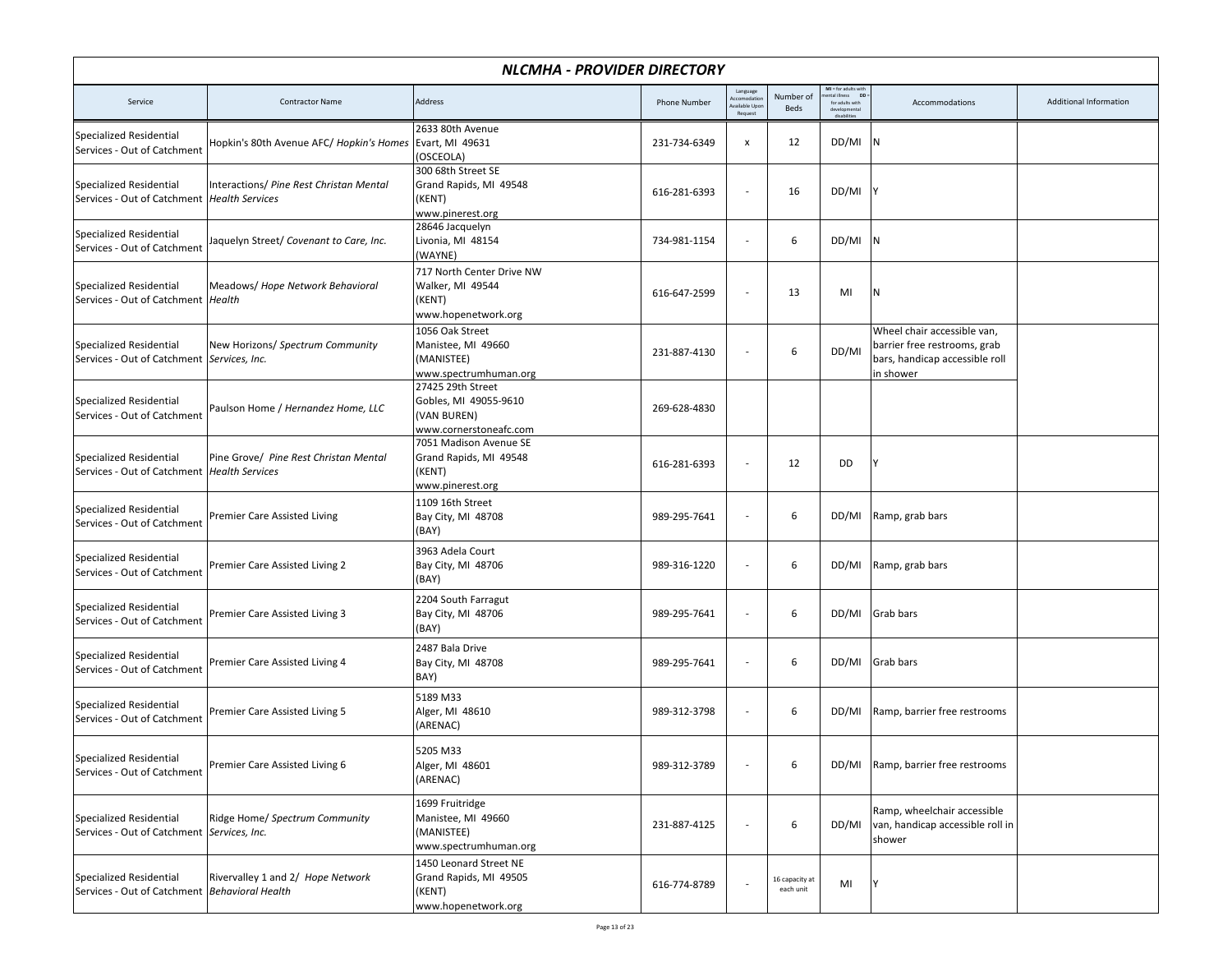| NLCMHA - PROVIDER DIRECTORY                                                     |                                          |                                                                                     |                     |                                                    |                             |                                                                        |                                                                                                            |                               |  |  |
|---------------------------------------------------------------------------------|------------------------------------------|-------------------------------------------------------------------------------------|---------------------|----------------------------------------------------|-----------------------------|------------------------------------------------------------------------|------------------------------------------------------------------------------------------------------------|-------------------------------|--|--|
| Service                                                                         | <b>Contractor Name</b>                   | Address                                                                             | <b>Phone Number</b> | Language<br>Accomodatio<br>vailable Upc<br>Request | Number of<br><b>Beds</b>    | $MI = for adults with$<br><b>DD</b><br>ntal illness<br>for adults with | Accommodations                                                                                             | <b>Additional Information</b> |  |  |
| <b>Specialized Residential</b><br>Services - Out of Catchment                   | Hopkin's 80th Avenue AFC/ Hopkin's Homes | 2633 80th Avenue<br>Evart, MI 49631<br>(OSCEOLA)                                    | 231-734-6349        | $\pmb{\mathsf{x}}$                                 | 12                          | DD/MI                                                                  | 1N                                                                                                         |                               |  |  |
| <b>Specialized Residential</b><br>Services - Out of Catchment   Health Services | Interactions/ Pine Rest Christan Mental  | 300 68th Street SE<br>Grand Rapids, MI 49548<br>(KENT)<br>www.pinerest.org          | 616-281-6393        | $\overline{\phantom{a}}$                           | 16                          | DD/MI                                                                  |                                                                                                            |                               |  |  |
| <b>Specialized Residential</b><br>Services - Out of Catchment                   | Jaquelyn Street/ Covenant to Care, Inc.  | 28646 Jacquelyn<br>Livonia, MI 48154<br>(WAYNE)                                     | 734-981-1154        | $\overline{a}$                                     | 6                           | DD/MI                                                                  | İΝ.                                                                                                        |                               |  |  |
| <b>Specialized Residential</b><br>Services - Out of Catchment   Health          | Meadows/ Hope Network Behavioral         | 717 North Center Drive NW<br>Walker, MI 49544<br>(KENT)<br>www.hopenetwork.org      | 616-647-2599        | $\overline{\phantom{a}}$                           | 13                          | MI                                                                     | N                                                                                                          |                               |  |  |
| <b>Specialized Residential</b><br>Services - Out of Catchment Services, Inc.    | New Horizons/ Spectrum Community         | 1056 Oak Street<br>Manistee, MI 49660<br>(MANISTEE)<br>www.spectrumhuman.org        | 231-887-4130        |                                                    | 6                           | DD/MI                                                                  | Wheel chair accessible van,<br>barrier free restrooms, grab<br>bars, handicap accessible roll<br>in shower |                               |  |  |
| <b>Specialized Residential</b><br>Services - Out of Catchment                   | Paulson Home / Hernandez Home, LLC       | 27425 29th Street<br>Gobles, MI 49055-9610<br>(VAN BUREN)<br>www.cornerstoneafc.com | 269-628-4830        |                                                    |                             |                                                                        |                                                                                                            |                               |  |  |
| <b>Specialized Residential</b><br>Services - Out of Catchment   Health Services | Pine Grove/ Pine Rest Christan Mental    | 7051 Madison Avenue SE<br>Grand Rapids, MI 49548<br>(KENT)<br>www.pinerest.org      | 616-281-6393        |                                                    | 12                          | DD                                                                     | γ                                                                                                          |                               |  |  |
| <b>Specialized Residential</b><br>Services - Out of Catchment                   | Premier Care Assisted Living             | 1109 16th Street<br>Bay City, MI 48708<br>(BAY)                                     | 989-295-7641        | $\overline{\phantom{a}}$                           | 6                           | DD/MI                                                                  | Ramp, grab bars                                                                                            |                               |  |  |
| Specialized Residential<br>Services - Out of Catchment                          | Premier Care Assisted Living 2           | 3963 Adela Court<br>Bay City, MI 48706<br>(BAY)                                     | 989-316-1220        |                                                    | 6                           | DD/MI                                                                  | Ramp, grab bars                                                                                            |                               |  |  |
| <b>Specialized Residential</b><br>Services - Out of Catchment                   | Premier Care Assisted Living 3           | 2204 South Farragut<br>Bay City, MI 48706<br>(BAY)                                  | 989-295-7641        | $\overline{\phantom{a}}$                           | 6                           | DD/MI                                                                  | Grab bars                                                                                                  |                               |  |  |
| <b>Specialized Residential</b><br>Services - Out of Catchment                   | Premier Care Assisted Living 4           | 2487 Bala Drive<br>Bay City, MI 48708<br>BAY)                                       | 989-295-7641        | $\overline{a}$                                     | 6                           | DD/MI                                                                  | Grab bars                                                                                                  |                               |  |  |
| Specialized Residential<br>Services - Out of Catchment                          | Premier Care Assisted Living 5           | 5189 M33<br>Alger, MI 48610<br>(ARENAC)                                             | 989-312-3798        | $\overline{a}$                                     | 6                           | DD/MI                                                                  | Ramp, barrier free restrooms                                                                               |                               |  |  |
| <b>Specialized Residential</b><br>Services - Out of Catchment                   | Premier Care Assisted Living 6           | 5205 M33<br>Alger, MI 48601<br>(ARENAC)                                             | 989-312-3789        | $\overline{a}$                                     | 6                           | DD/MI                                                                  | Ramp, barrier free restrooms                                                                               |                               |  |  |
| <b>Specialized Residential</b><br>Services - Out of Catchment Services, Inc.    | Ridge Home/ Spectrum Community           | 1699 Fruitridge<br>Manistee, MI 49660<br>(MANISTEE)<br>www.spectrumhuman.org        | 231-887-4125        | $\overline{a}$                                     | 6                           | DD/MI                                                                  | Ramp, wheelchair accessible<br>van, handicap accessible roll in<br>shower                                  |                               |  |  |
| <b>Specialized Residential</b><br>Services - Out of Catchment Behavioral Health | Rivervalley 1 and 2/ Hope Network        | 1450 Leonard Street NE<br>Grand Rapids, MI 49505<br>(KENT)<br>www.hopenetwork.org   | 616-774-8789        |                                                    | 16 capacity at<br>each unit | MI                                                                     | Y                                                                                                          |                               |  |  |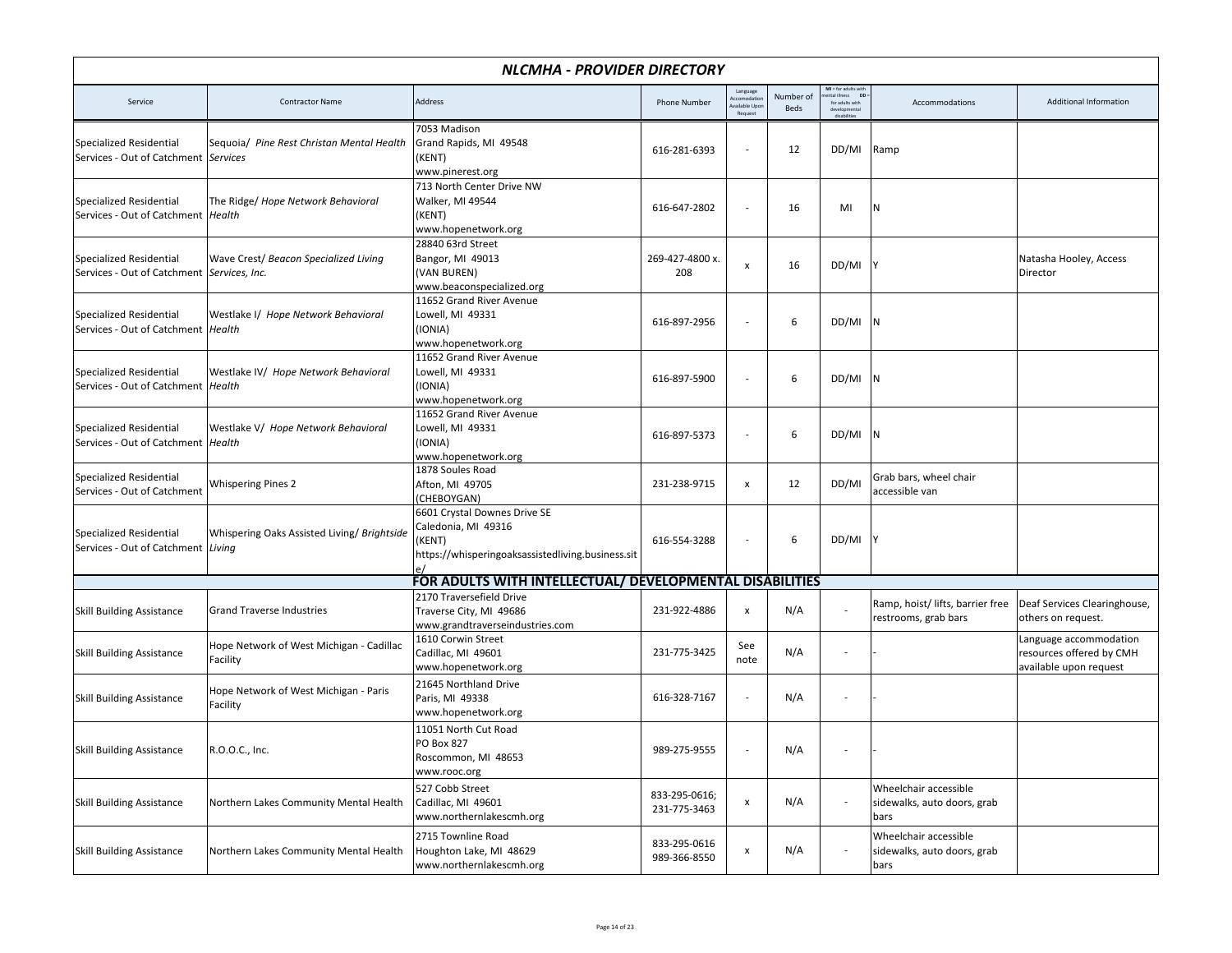|                                                                                | NLCMHA - PROVIDER DIRECTORY                          |                                                                                                                    |                               |                                                    |                   |                                                                      |                                                              |                                                                              |  |  |  |
|--------------------------------------------------------------------------------|------------------------------------------------------|--------------------------------------------------------------------------------------------------------------------|-------------------------------|----------------------------------------------------|-------------------|----------------------------------------------------------------------|--------------------------------------------------------------|------------------------------------------------------------------------------|--|--|--|
| Service                                                                        | <b>Contractor Name</b>                               | Address                                                                                                            | <b>Phone Number</b>           | Language<br>Accomodatio<br>wailable Upo<br>Request | Number of<br>Beds | MI = for adults with<br><b>DD</b><br>ntal illness<br>for adults with | Accommodations                                               | Additional Information                                                       |  |  |  |
| <b>Specialized Residential</b><br>Services - Out of Catchment Services         | Sequoia/ Pine Rest Christan Mental Health            | 7053 Madison<br>Grand Rapids, MI 49548<br>(KENT)<br>www.pinerest.org                                               | 616-281-6393                  | $\overline{a}$                                     | 12                | DD/MI                                                                | Ramp                                                         |                                                                              |  |  |  |
| <b>Specialized Residential</b><br>Services - Out of Catchment   Health         | The Ridge/ Hope Network Behavioral                   | 713 North Center Drive NW<br>Walker, MI 49544<br>(KENT)<br>www.hopenetwork.org                                     | 616-647-2802                  |                                                    | 16                | MI                                                                   | N                                                            |                                                                              |  |  |  |
| <b>Specialized Residential</b><br>Services - Out of Catchment   Services, Inc. | Wave Crest/ Beacon Specialized Living                | 28840 63rd Street<br>Bangor, MI 49013<br>(VAN BUREN)<br>www.beaconspecialized.org                                  | 269-427-4800 x.<br>208        | $\pmb{\chi}$                                       | 16                | DD/MI                                                                |                                                              | Natasha Hooley, Access<br>Director                                           |  |  |  |
| <b>Specialized Residential</b><br>Services - Out of Catchment   Health         | Westlake I/ Hope Network Behavioral                  | 11652 Grand River Avenue<br>Lowell, MI 49331<br>(IONIA)<br>www.hopenetwork.org                                     | 616-897-2956                  | $\overline{a}$                                     | 6                 | DD/MI                                                                | ΙN.                                                          |                                                                              |  |  |  |
| <b>Specialized Residential</b><br>Services - Out of Catchment   Health         | Westlake IV/ Hope Network Behavioral                 | 11652 Grand River Avenue<br>Lowell, MI 49331<br>(IONIA)<br>www.hopenetwork.org                                     | 616-897-5900                  |                                                    | 6                 | DD/MI                                                                | N                                                            |                                                                              |  |  |  |
| <b>Specialized Residential</b><br>Services - Out of Catchment   Health         | Westlake V/ Hope Network Behavioral                  | 11652 Grand River Avenue<br>Lowell, MI 49331<br>(IONIA)<br>www.hopenetwork.org                                     | 616-897-5373                  |                                                    | 6                 | DD/MI                                                                | IN.                                                          |                                                                              |  |  |  |
| <b>Specialized Residential</b><br>Services - Out of Catchment                  | <b>Whispering Pines 2</b>                            | 1878 Soules Road<br>Afton, MI 49705<br>(CHEBOYGAN)                                                                 | 231-238-9715                  | $\pmb{\mathsf{x}}$                                 | 12                | DD/MI                                                                | Grab bars, wheel chair<br>accessible van                     |                                                                              |  |  |  |
| <b>Specialized Residential</b><br>Services - Out of Catchment Living           | Whispering Oaks Assisted Living/ Brightside          | 6601 Crystal Downes Drive SE<br>Caledonia, MI 49316<br>(KENT)<br>https://whisperingoaksassistedliving.business.sit | 616-554-3288                  | $\overline{a}$                                     | 6                 | DD/MI                                                                |                                                              |                                                                              |  |  |  |
|                                                                                |                                                      | FOR ADULTS WITH INTELLECTUAL/ DEVELOPMENTAL DISABILITIES                                                           |                               |                                                    |                   |                                                                      |                                                              |                                                                              |  |  |  |
| <b>Skill Building Assistance</b>                                               | <b>Grand Traverse Industries</b>                     | 2170 Traversefield Drive<br>Traverse City, MI 49686<br>www.grandtraverseindustries.com                             | 231-922-4886                  | $\boldsymbol{\mathsf{x}}$                          | N/A               |                                                                      | Ramp, hoist/ lifts, barrier free<br>restrooms, grab bars     | Deaf Services Clearinghouse,<br>others on request.                           |  |  |  |
| <b>Skill Building Assistance</b>                                               | Hope Network of West Michigan - Cadillac<br>Facility | 1610 Corwin Street<br>Cadillac, MI 49601<br>www.hopenetwork.org                                                    | 231-775-3425                  | See<br>note                                        | N/A               | ٠                                                                    |                                                              | Language accommodation<br>resources offered by CMH<br>available upon request |  |  |  |
| <b>Skill Building Assistance</b>                                               | Hope Network of West Michigan - Paris<br>Facility    | 21645 Northland Drive<br>Paris, MI 49338<br>www.hopenetwork.org                                                    | 616-328-7167                  | $\overline{a}$                                     | N/A               | $\overline{a}$                                                       |                                                              |                                                                              |  |  |  |
| <b>Skill Building Assistance</b>                                               | R.O.O.C., Inc.                                       | 11051 North Cut Road<br>PO Box 827<br>Roscommon, MI 48653<br>www.rooc.org                                          | 989-275-9555                  |                                                    | N/A               |                                                                      |                                                              |                                                                              |  |  |  |
| <b>Skill Building Assistance</b>                                               | Northern Lakes Community Mental Health               | 527 Cobb Street<br>Cadillac, MI 49601<br>www.northernlakescmh.org                                                  | 833-295-0616;<br>231-775-3463 | $\pmb{\mathsf{x}}$                                 | N/A               |                                                                      | Wheelchair accessible<br>sidewalks, auto doors, grab<br>bars |                                                                              |  |  |  |
| <b>Skill Building Assistance</b>                                               | Northern Lakes Community Mental Health               | 2715 Townline Road<br>Houghton Lake, MI 48629<br>www.northernlakescmh.org                                          | 833-295-0616<br>989-366-8550  | $\pmb{\mathsf{x}}$                                 | N/A               |                                                                      | Wheelchair accessible<br>sidewalks, auto doors, grab<br>bars |                                                                              |  |  |  |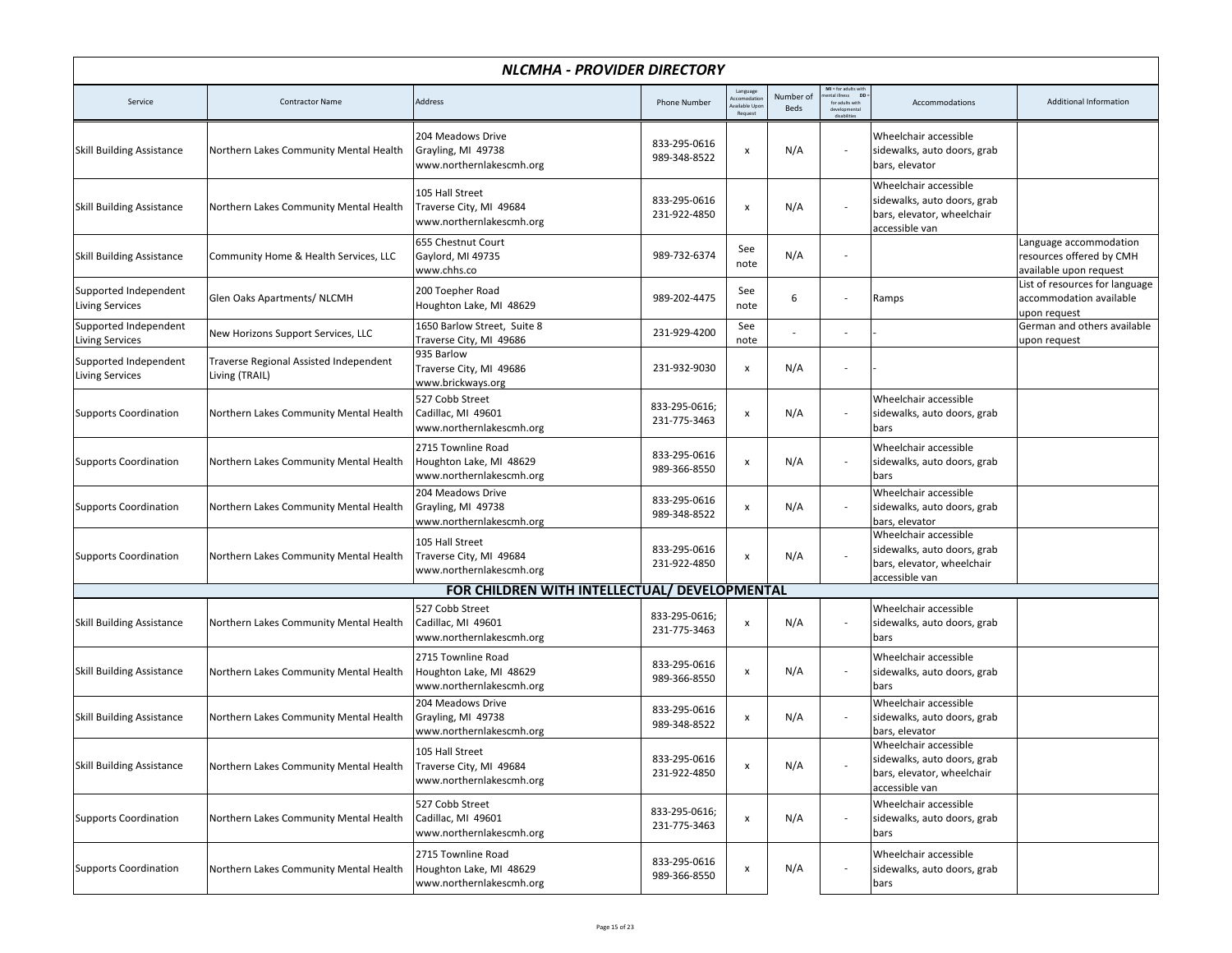|                                                 |                                                          | NLCMHA - PROVIDER DIRECTORY                                               |                               |                                                   |                          |                                                                              |                                                                                                      |                                                                              |
|-------------------------------------------------|----------------------------------------------------------|---------------------------------------------------------------------------|-------------------------------|---------------------------------------------------|--------------------------|------------------------------------------------------------------------------|------------------------------------------------------------------------------------------------------|------------------------------------------------------------------------------|
| Service                                         | <b>Contractor Name</b>                                   | Address                                                                   | <b>Phone Number</b>           | Language<br>ccomodatio<br>vailable Upo<br>Request | Number of<br><b>Beds</b> | $MI = for adults withneutral illness DD:$<br>ntal illness<br>for adults with | Accommodations                                                                                       | Additional Information                                                       |
| <b>Skill Building Assistance</b>                | Northern Lakes Community Mental Health                   | 204 Meadows Drive<br>Grayling, MI 49738<br>www.northernlakescmh.org       | 833-295-0616<br>989-348-8522  | X                                                 | N/A                      |                                                                              | Wheelchair accessible<br>sidewalks, auto doors, grab<br>bars, elevator                               |                                                                              |
| <b>Skill Building Assistance</b>                | Northern Lakes Community Mental Health                   | 105 Hall Street<br>Traverse City, MI 49684<br>www.northernlakescmh.org    | 833-295-0616<br>231-922-4850  | X                                                 | N/A                      |                                                                              | Wheelchair accessible<br>sidewalks, auto doors, grab<br>bars, elevator, wheelchair<br>accessible van |                                                                              |
| <b>Skill Building Assistance</b>                | Community Home & Health Services, LLC                    | 655 Chestnut Court<br>Gaylord, MI 49735<br>www.chhs.co                    | 989-732-6374                  | See<br>note                                       | N/A                      |                                                                              |                                                                                                      | Language accommodation<br>resources offered by CMH<br>available upon request |
| Supported Independent<br><b>Living Services</b> | Glen Oaks Apartments/ NLCMH                              | 200 Toepher Road<br>Houghton Lake, MI 48629                               | 989-202-4475                  | See<br>note                                       | 6                        |                                                                              | Ramps                                                                                                | List of resources for language<br>accommodation available<br>upon request    |
| Supported Independent<br><b>Living Services</b> | New Horizons Support Services, LLC                       | 1650 Barlow Street, Suite 8<br>Traverse City, MI 49686                    | 231-929-4200                  | See<br>note                                       |                          |                                                                              |                                                                                                      | German and others available<br>upon request                                  |
| Supported Independent<br><b>Living Services</b> | Traverse Regional Assisted Independent<br>Living (TRAIL) | 935 Barlow<br>Traverse City, MI 49686<br>www.brickways.org                | 231-932-9030                  | X                                                 | N/A                      |                                                                              |                                                                                                      |                                                                              |
| <b>Supports Coordination</b>                    | Northern Lakes Community Mental Health                   | 527 Cobb Street<br>Cadillac, MI 49601<br>www.northernlakescmh.org         | 833-295-0616;<br>231-775-3463 | x                                                 | N/A                      |                                                                              | Wheelchair accessible<br>sidewalks, auto doors, grab<br>bars                                         |                                                                              |
| <b>Supports Coordination</b>                    | Northern Lakes Community Mental Health                   | 2715 Townline Road<br>Houghton Lake, MI 48629<br>www.northernlakescmh.org | 833-295-0616<br>989-366-8550  | $\pmb{\mathsf{x}}$                                | N/A                      |                                                                              | Wheelchair accessible<br>sidewalks, auto doors, grab<br>bars                                         |                                                                              |
| <b>Supports Coordination</b>                    | Northern Lakes Community Mental Health                   | 204 Meadows Drive<br>Grayling, MI 49738<br>www.northernlakescmh.org       | 833-295-0616<br>989-348-8522  | $\pmb{\times}$                                    | N/A                      |                                                                              | Wheelchair accessible<br>sidewalks, auto doors, grab<br>bars, elevator                               |                                                                              |
| <b>Supports Coordination</b>                    | Northern Lakes Community Mental Health                   | 105 Hall Street<br>Traverse City, MI 49684<br>www.northernlakescmh.org    | 833-295-0616<br>231-922-4850  | x                                                 | N/A                      |                                                                              | Wheelchair accessible<br>sidewalks, auto doors, grab<br>bars, elevator, wheelchair<br>accessible van |                                                                              |
|                                                 |                                                          | FOR CHILDREN WITH INTELLECTUAL/ DEVELOPMENTAL                             |                               |                                                   |                          |                                                                              |                                                                                                      |                                                                              |
| <b>Skill Building Assistance</b>                | Northern Lakes Community Mental Health                   | 527 Cobb Street<br>Cadillac, MI 49601<br>www.northernlakescmh.org         | 833-295-0616;<br>231-775-3463 | X                                                 | N/A                      |                                                                              | Wheelchair accessible<br>sidewalks, auto doors, grab<br>bars                                         |                                                                              |
| <b>Skill Building Assistance</b>                | Northern Lakes Community Mental Health                   | 2715 Townline Road<br>Houghton Lake, MI 48629<br>www.northernlakescmh.org | 833-295-0616<br>989-366-8550  | x                                                 | N/A                      |                                                                              | Wheelchair accessible<br>sidewalks, auto doors, grab<br>bars                                         |                                                                              |
| <b>Skill Building Assistance</b>                | Northern Lakes Community Mental Health                   | 204 Meadows Drive<br>Grayling, MI 49738<br>www.northernlakescmh.org       | 833-295-0616<br>989-348-8522  | X                                                 | N/A                      |                                                                              | Wheelchair accessible<br>sidewalks, auto doors, grab<br>bars, elevator                               |                                                                              |
| Skill Building Assistance                       | Northern Lakes Community Mental Health                   | 105 Hall Street<br>Traverse City, MI 49684<br>www.northernlakescmh.org    | 833-295-0616<br>231-922-4850  | X                                                 | N/A                      |                                                                              | Wheelchair accessible<br>sidewalks, auto doors, grab<br>bars, elevator, wheelchair<br>accessible van |                                                                              |
| <b>Supports Coordination</b>                    | Northern Lakes Community Mental Health                   | 527 Cobb Street<br>Cadillac, MI 49601<br>www.northernlakescmh.org         | 833-295-0616;<br>231-775-3463 | X                                                 | N/A                      |                                                                              | Wheelchair accessible<br>sidewalks, auto doors, grab<br>bars                                         |                                                                              |
| <b>Supports Coordination</b>                    | Northern Lakes Community Mental Health                   | 2715 Townline Road<br>Houghton Lake, MI 48629<br>www.northernlakescmh.org | 833-295-0616<br>989-366-8550  | X                                                 | N/A                      |                                                                              | Wheelchair accessible<br>sidewalks, auto doors, grab<br>bars                                         |                                                                              |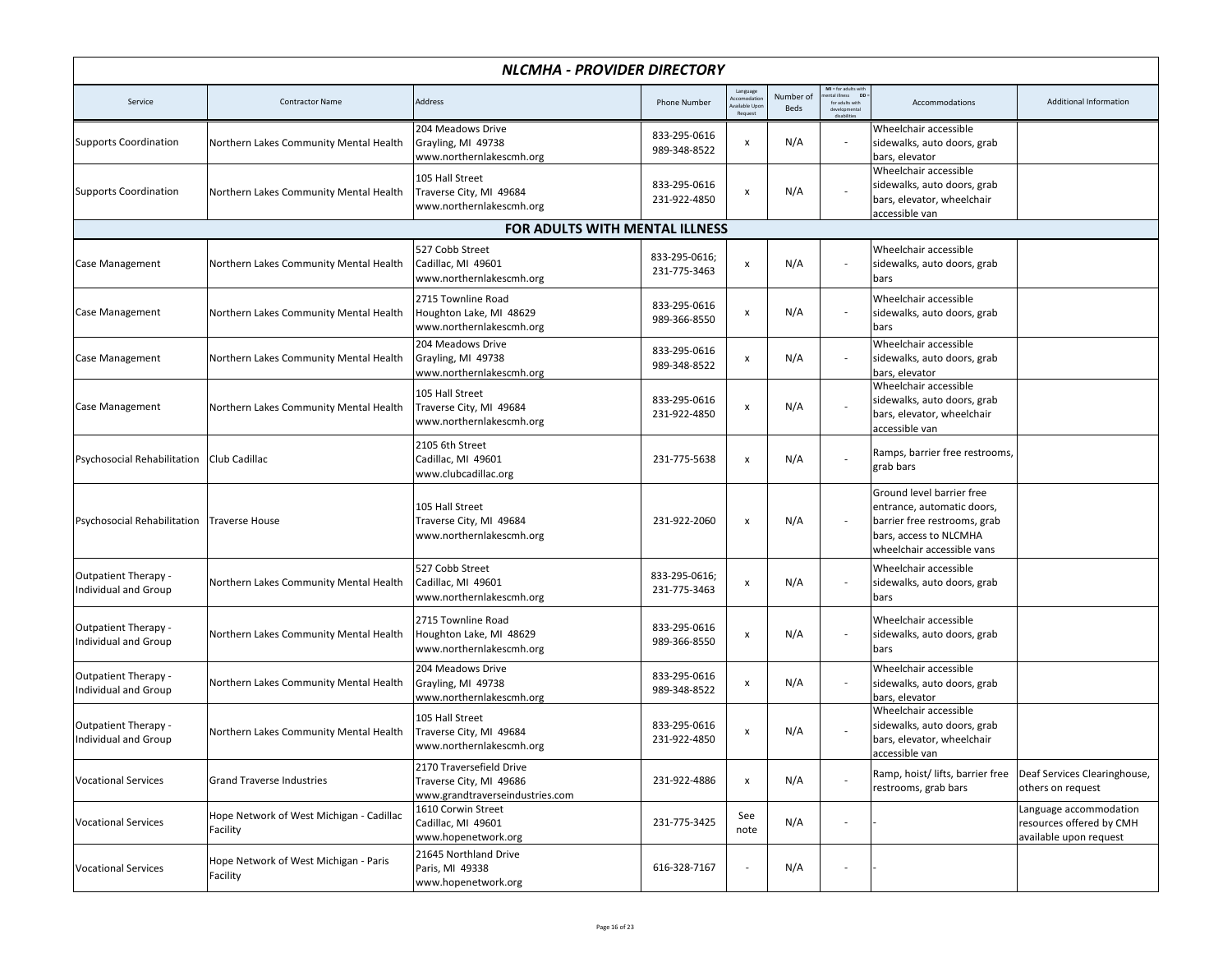|                                                     |                                                      | NLCMHA - PROVIDER DIRECTORY                                                            |                               |                                                   |                   |                                                                                             |                                                                                                                                                 |                                                                              |  |  |
|-----------------------------------------------------|------------------------------------------------------|----------------------------------------------------------------------------------------|-------------------------------|---------------------------------------------------|-------------------|---------------------------------------------------------------------------------------------|-------------------------------------------------------------------------------------------------------------------------------------------------|------------------------------------------------------------------------------|--|--|
| Service                                             | <b>Contractor Name</b>                               | Address                                                                                | Phone Number                  | Language<br>ccomodatio<br>vailable Upo<br>Request | Number of<br>Beds | MI = for adults with<br>nental illness DD<br>ntal illness<br>for adults with<br>dirabilitin | Accommodations                                                                                                                                  | <b>Additional Information</b>                                                |  |  |
| Supports Coordination                               | Northern Lakes Community Mental Health               | 204 Meadows Drive<br>Grayling, MI 49738<br>www.northernlakescmh.org                    | 833-295-0616<br>989-348-8522  | X                                                 | N/A               | $\overline{\phantom{a}}$                                                                    | Wheelchair accessible<br>sidewalks, auto doors, grab<br>bars, elevator                                                                          |                                                                              |  |  |
| Supports Coordination                               | Northern Lakes Community Mental Health               | 105 Hall Street<br>Traverse City, MI 49684<br>www.northernlakescmh.org                 | 833-295-0616<br>231-922-4850  | X                                                 | N/A               |                                                                                             | Wheelchair accessible<br>sidewalks, auto doors, grab<br>bars, elevator, wheelchair<br>accessible van                                            |                                                                              |  |  |
|                                                     | FOR ADULTS WITH MENTAL ILLNESS                       |                                                                                        |                               |                                                   |                   |                                                                                             |                                                                                                                                                 |                                                                              |  |  |
| Case Management                                     | Northern Lakes Community Mental Health               | 527 Cobb Street<br>Cadillac, MI 49601<br>www.northernlakescmh.org                      | 833-295-0616;<br>231-775-3463 | x                                                 | N/A               |                                                                                             | Wheelchair accessible<br>sidewalks, auto doors, grab<br>bars                                                                                    |                                                                              |  |  |
| Case Management                                     | Northern Lakes Community Mental Health               | 2715 Townline Road<br>Houghton Lake, MI 48629<br>www.northernlakescmh.org              | 833-295-0616<br>989-366-8550  | x                                                 | N/A               | $\overline{\phantom{a}}$                                                                    | Wheelchair accessible<br>sidewalks, auto doors, grab<br>bars                                                                                    |                                                                              |  |  |
| Case Management                                     | Northern Lakes Community Mental Health               | 204 Meadows Drive<br>Grayling, MI 49738<br>www.northernlakescmh.org                    | 833-295-0616<br>989-348-8522  | X                                                 | N/A               |                                                                                             | Wheelchair accessible<br>sidewalks, auto doors, grab<br>bars, elevator                                                                          |                                                                              |  |  |
| Case Management                                     | Northern Lakes Community Mental Health               | 105 Hall Street<br>Traverse City, MI 49684<br>www.northernlakescmh.org                 | 833-295-0616<br>231-922-4850  | x                                                 | N/A               |                                                                                             | Wheelchair accessible<br>sidewalks, auto doors, grab<br>bars, elevator, wheelchair<br>accessible van                                            |                                                                              |  |  |
| Psychosocial Rehabilitation                         | Club Cadillac                                        | 2105 6th Street<br>Cadillac, MI 49601<br>www.clubcadillac.org                          | 231-775-5638                  | X                                                 | N/A               |                                                                                             | Ramps, barrier free restrooms,<br>grab bars                                                                                                     |                                                                              |  |  |
| Psychosocial Rehabilitation                         | Traverse House                                       | 105 Hall Street<br>Traverse City, MI 49684<br>www.northernlakescmh.org                 | 231-922-2060                  | X                                                 | N/A               |                                                                                             | Ground level barrier free<br>entrance, automatic doors,<br>barrier free restrooms, grab<br>bars, access to NLCMHA<br>wheelchair accessible vans |                                                                              |  |  |
| Outpatient Therapy -<br>Individual and Group        | Northern Lakes Community Mental Health               | 527 Cobb Street<br>Cadillac, MI 49601<br>www.northernlakescmh.org                      | 833-295-0616;<br>231-775-3463 | x                                                 | N/A               |                                                                                             | Wheelchair accessible<br>sidewalks, auto doors, grab<br>bars                                                                                    |                                                                              |  |  |
| <b>Outpatient Therapy -</b><br>Individual and Group | Northern Lakes Community Mental Health               | 2715 Townline Road<br>Houghton Lake, MI 48629<br>www.northernlakescmh.org              | 833-295-0616<br>989-366-8550  | X                                                 | N/A               | $\overline{\phantom{a}}$                                                                    | Wheelchair accessible<br>sidewalks, auto doors, grab<br>bars                                                                                    |                                                                              |  |  |
| Outpatient Therapy -<br>Individual and Group        | Northern Lakes Community Mental Health               | 204 Meadows Drive<br>Grayling, MI 49738<br>www.northernlakescmh.org                    | 833-295-0616<br>989-348-8522  | x                                                 | N/A               |                                                                                             | Wheelchair accessible<br>sidewalks, auto doors, grab<br>bars, elevator                                                                          |                                                                              |  |  |
| <b>Outpatient Therapy -</b><br>Individual and Group | Northern Lakes Community Mental Health               | 105 Hall Street<br>Traverse City, MI 49684<br>www.northernlakescmh.org                 | 833-295-0616<br>231-922-4850  | $\pmb{\mathsf{x}}$                                | N/A               |                                                                                             | Wheelchair accessible<br>sidewalks, auto doors, grab<br>bars, elevator, wheelchair<br>accessible van                                            |                                                                              |  |  |
| <b>Vocational Services</b>                          | <b>Grand Traverse Industries</b>                     | 2170 Traversefield Drive<br>Traverse City, MI 49686<br>www.grandtraverseindustries.com | 231-922-4886                  | X                                                 | N/A               |                                                                                             | Ramp, hoist/lifts, barrier free<br>restrooms, grab bars                                                                                         | Deaf Services Clearinghouse,<br>others on request                            |  |  |
| <b>Vocational Services</b>                          | Hope Network of West Michigan - Cadillac<br>Facility | 1610 Corwin Street<br>Cadillac, MI 49601<br>www.hopenetwork.org                        | 231-775-3425                  | See<br>note                                       | N/A               |                                                                                             |                                                                                                                                                 | Language accommodation<br>resources offered by CMH<br>available upon request |  |  |
| <b>Vocational Services</b>                          | Hope Network of West Michigan - Paris<br>Facility    | 21645 Northland Drive<br>Paris, MI 49338<br>www.hopenetwork.org                        | 616-328-7167                  |                                                   | N/A               |                                                                                             |                                                                                                                                                 |                                                                              |  |  |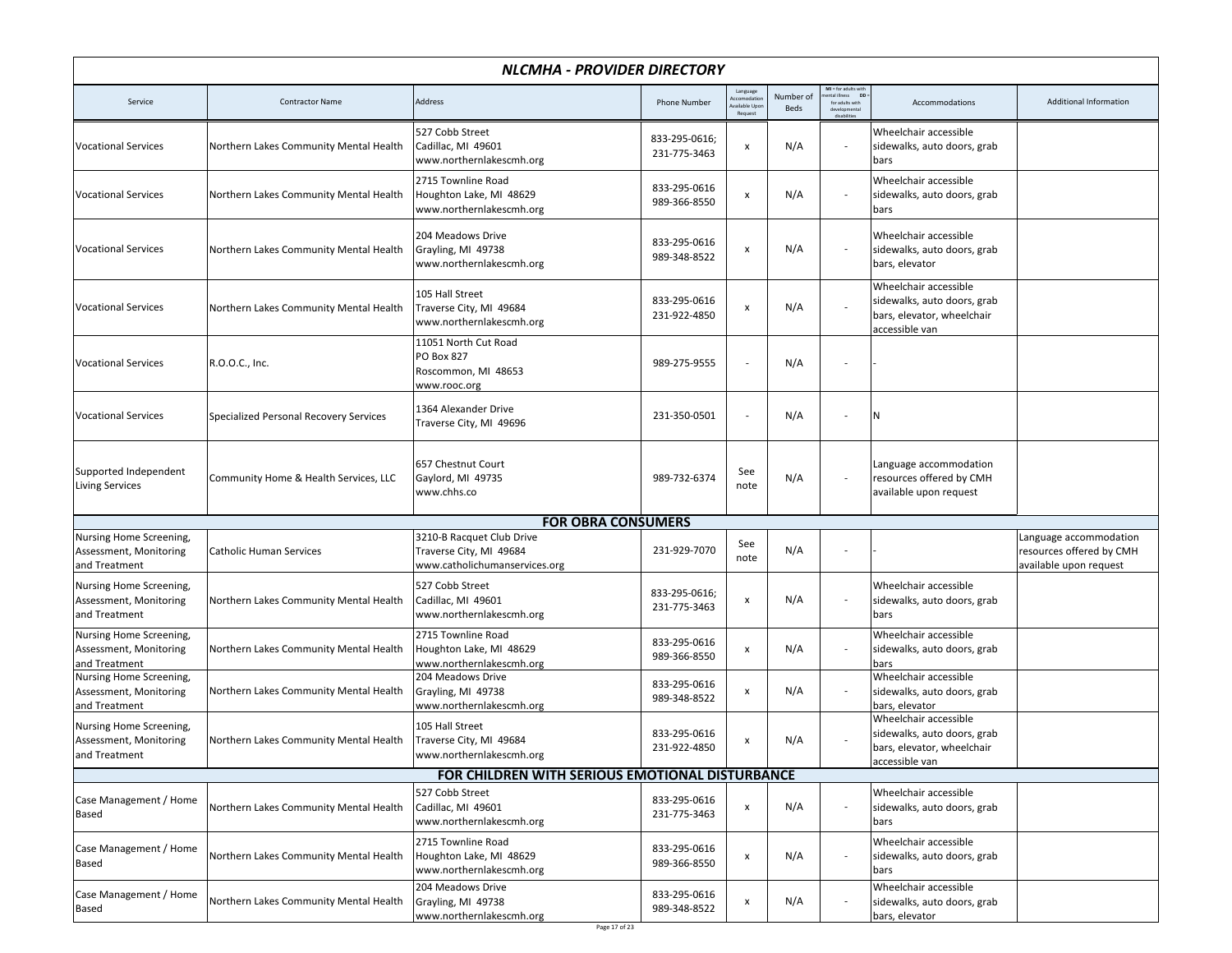|                                                                    | NLCMHA - PROVIDER DIRECTORY            |                                                                                       |                               |                                                  |                   |                                                                |                                                                                                      |                                                                              |  |  |  |
|--------------------------------------------------------------------|----------------------------------------|---------------------------------------------------------------------------------------|-------------------------------|--------------------------------------------------|-------------------|----------------------------------------------------------------|------------------------------------------------------------------------------------------------------|------------------------------------------------------------------------------|--|--|--|
| Service                                                            | <b>Contractor Name</b>                 | Address                                                                               | <b>Phone Number</b>           | Language<br>ccomodatio<br>ailable Upo<br>Request | Number of<br>Beds | $MI = for adults with$<br>DD<br>tal illness<br>for adults with | Accommodations                                                                                       | <b>Additional Information</b>                                                |  |  |  |
| <b>Vocational Services</b>                                         | Northern Lakes Community Mental Health | 527 Cobb Street<br>Cadillac, MI 49601<br>www.northernlakescmh.org                     | 833-295-0616;<br>231-775-3463 | x                                                | N/A               |                                                                | Wheelchair accessible<br>sidewalks, auto doors, grab<br>bars                                         |                                                                              |  |  |  |
| <b>Vocational Services</b>                                         | Northern Lakes Community Mental Health | 2715 Townline Road<br>Houghton Lake, MI 48629<br>www.northernlakescmh.org             | 833-295-0616<br>989-366-8550  | x                                                | N/A               |                                                                | Wheelchair accessible<br>sidewalks, auto doors, grab<br>bars                                         |                                                                              |  |  |  |
| <b>Vocational Services</b>                                         | Northern Lakes Community Mental Health | 204 Meadows Drive<br>Grayling, MI 49738<br>www.northernlakescmh.org                   | 833-295-0616<br>989-348-8522  | x                                                | N/A               |                                                                | Wheelchair accessible<br>sidewalks, auto doors, grab<br>bars, elevator                               |                                                                              |  |  |  |
| <b>Vocational Services</b>                                         | Northern Lakes Community Mental Health | 105 Hall Street<br>Traverse City, MI 49684<br>www.northernlakescmh.org                | 833-295-0616<br>231-922-4850  | x                                                | N/A               |                                                                | Wheelchair accessible<br>sidewalks, auto doors, grab<br>bars, elevator, wheelchair<br>accessible van |                                                                              |  |  |  |
| <b>Vocational Services</b>                                         | R.O.O.C., Inc.                         | 11051 North Cut Road<br>PO Box 827<br>Roscommon, MI 48653<br>www.rooc.org             | 989-275-9555                  |                                                  | N/A               |                                                                |                                                                                                      |                                                                              |  |  |  |
| <b>Vocational Services</b>                                         | Specialized Personal Recovery Services | 1364 Alexander Drive<br>Traverse City, MI 49696                                       | 231-350-0501                  |                                                  | N/A               |                                                                | N                                                                                                    |                                                                              |  |  |  |
| Supported Independent<br><b>Living Services</b>                    | Community Home & Health Services, LLC  | 657 Chestnut Court<br>Gaylord, MI 49735<br>www.chhs.co                                | 989-732-6374                  | See<br>note                                      | N/A               |                                                                | Language accommodation<br>resources offered by CMH<br>available upon request                         |                                                                              |  |  |  |
|                                                                    |                                        | <b>FOR OBRA CONSUMERS</b>                                                             |                               |                                                  |                   |                                                                |                                                                                                      |                                                                              |  |  |  |
| Nursing Home Screening,<br>Assessment, Monitoring<br>and Treatment | <b>Catholic Human Services</b>         | 3210-B Racquet Club Drive<br>Traverse City, MI 49684<br>www.catholichumanservices.org | 231-929-7070                  | See<br>note                                      | N/A               |                                                                |                                                                                                      | Language accommodation<br>resources offered by CMH<br>available upon request |  |  |  |
| Nursing Home Screening,<br>Assessment, Monitoring<br>and Treatment | Northern Lakes Community Mental Health | 527 Cobb Street<br>Cadillac, MI 49601<br>www.northernlakescmh.org                     | 833-295-0616;<br>231-775-3463 | x                                                | N/A               |                                                                | Wheelchair accessible<br>sidewalks, auto doors, grab<br>bars                                         |                                                                              |  |  |  |
| Nursing Home Screening,<br>Assessment, Monitoring<br>and Treatment | Northern Lakes Community Mental Health | 2715 Townline Road<br>Houghton Lake, MI 48629<br>www.northernlakescmh.org             | 833-295-0616<br>989-366-8550  | x                                                | N/A               |                                                                | Wheelchair accessible<br>sidewalks, auto doors, grab<br>bars                                         |                                                                              |  |  |  |
| Nursing Home Screening,<br>Assessment, Monitoring<br>and Treatment | Northern Lakes Community Mental Health | 204 Meadows Drive<br>Grayling, MI 49738<br>www.northernlakescmh.org                   | 833-295-0616<br>989-348-8522  | x                                                | N/A               |                                                                | Wheelchair accessible<br>sidewalks, auto doors, grab<br>bars, elevator                               |                                                                              |  |  |  |
| Nursing Home Screening,<br>Assessment, Monitoring<br>and Treatment | Northern Lakes Community Mental Health | 105 Hall Street<br>Traverse City, MI 49684<br>www.northernlakescmh.org                | 833-295-0616<br>231-922-4850  | x                                                | N/A               |                                                                | Wheelchair accessible<br>sidewalks, auto doors, grab<br>bars, elevator, wheelchair<br>accessible van |                                                                              |  |  |  |
|                                                                    |                                        | FOR CHILDREN WITH SERIOUS EMOTIONAL DISTURBANCE                                       |                               |                                                  |                   |                                                                |                                                                                                      |                                                                              |  |  |  |
| Case Management / Home<br>Based                                    | Northern Lakes Community Mental Health | 527 Cobb Street<br>Cadillac, MI 49601<br>www.northernlakescmh.org                     | 833-295-0616<br>231-775-3463  | x                                                | N/A               |                                                                | Wheelchair accessible<br>sidewalks, auto doors, grab<br>bars                                         |                                                                              |  |  |  |
| Case Management / Home<br>Based                                    | Northern Lakes Community Mental Health | 2715 Townline Road<br>Houghton Lake, MI 48629<br>www.northernlakescmh.org             | 833-295-0616<br>989-366-8550  | x                                                | N/A               |                                                                | Wheelchair accessible<br>sidewalks, auto doors, grab<br>bars                                         |                                                                              |  |  |  |
| Case Management / Home<br>Based                                    | Northern Lakes Community Mental Health | 204 Meadows Drive<br>Grayling, MI 49738<br>www.northernlakescmh.org                   | 833-295-0616<br>989-348-8522  | x                                                | N/A               |                                                                | Wheelchair accessible<br>sidewalks, auto doors, grab<br>bars, elevator                               |                                                                              |  |  |  |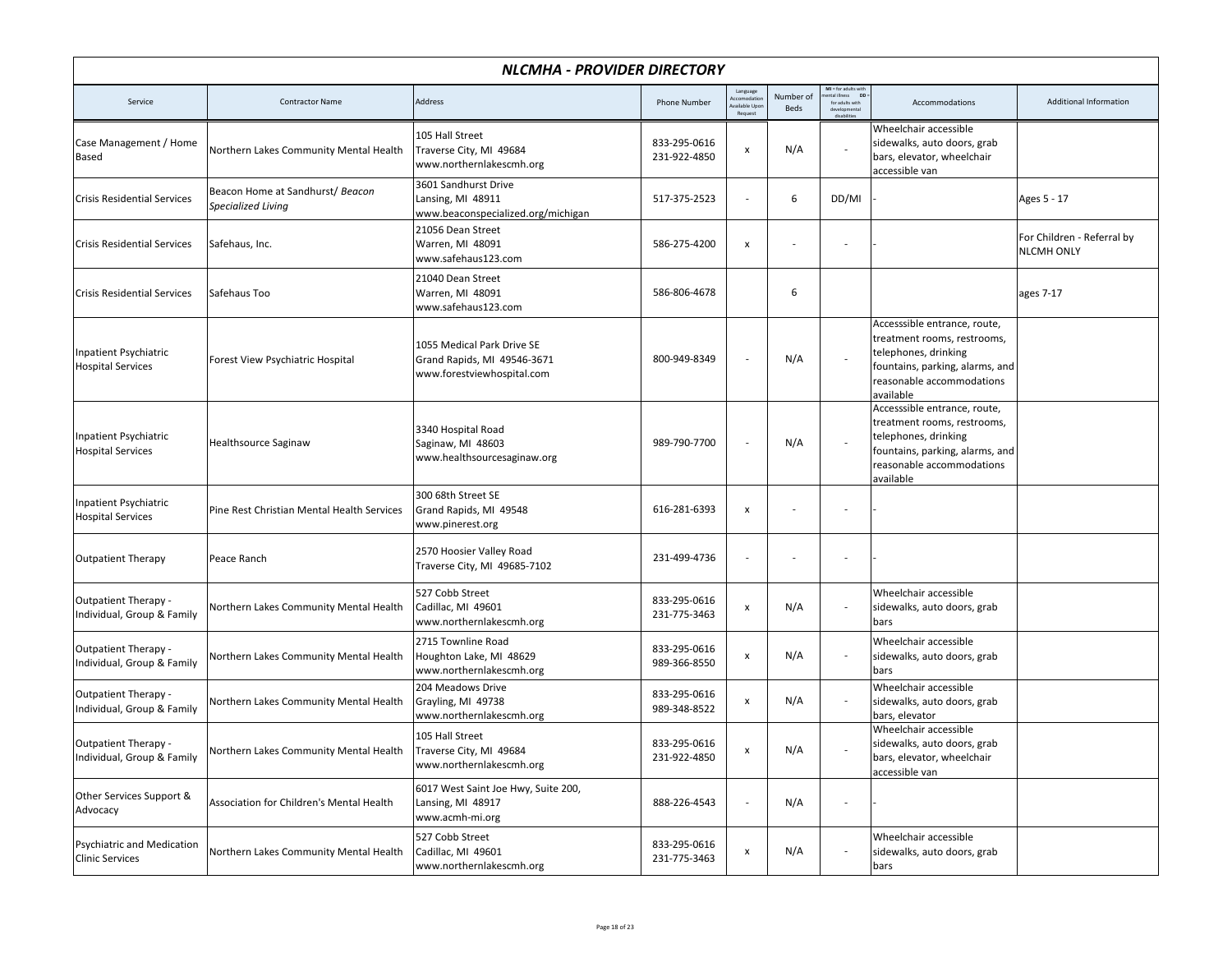|                                                           | NLCMHA - PROVIDER DIRECTORY                            |                                                                                         |                              |                                                   |                   |                                                                             |                                                                                                                                                                  |                                                 |  |  |  |
|-----------------------------------------------------------|--------------------------------------------------------|-----------------------------------------------------------------------------------------|------------------------------|---------------------------------------------------|-------------------|-----------------------------------------------------------------------------|------------------------------------------------------------------------------------------------------------------------------------------------------------------|-------------------------------------------------|--|--|--|
| Service                                                   | <b>Contractor Name</b>                                 | Address                                                                                 | <b>Phone Number</b>          | Language<br>ccomodatio<br>vailable Upc<br>Request | Number of<br>Beds | MI = for adults with<br>mental illness DD<br>for adults with<br>dirabilitin | Accommodations                                                                                                                                                   | <b>Additional Information</b>                   |  |  |  |
| Case Management / Home<br>Based                           | Northern Lakes Community Mental Health                 | 105 Hall Street<br>Traverse City, MI 49684<br>www.northernlakescmh.org                  | 833-295-0616<br>231-922-4850 | $\pmb{\times}$                                    | N/A               |                                                                             | Wheelchair accessible<br>sidewalks, auto doors, grab<br>bars, elevator, wheelchair<br>accessible van                                                             |                                                 |  |  |  |
| <b>Crisis Residential Services</b>                        | Beacon Home at Sandhurst/ Beacon<br>Specialized Living | 3601 Sandhurst Drive<br>Lansing, MI 48911<br>www.beaconspecialized.org/michigan         | 517-375-2523                 | $\overline{a}$                                    | 6                 | DD/MI                                                                       |                                                                                                                                                                  | Ages 5 - 17                                     |  |  |  |
| <b>Crisis Residential Services</b>                        | Safehaus, Inc.                                         | 21056 Dean Street<br>Warren, MI 48091<br>www.safehaus123.com                            | 586-275-4200                 | $\pmb{\mathsf{x}}$                                |                   | $\overline{\phantom{a}}$                                                    |                                                                                                                                                                  | For Children - Referral by<br><b>NLCMH ONLY</b> |  |  |  |
| <b>Crisis Residential Services</b>                        | Safehaus Too                                           | 21040 Dean Street<br>Warren, MI 48091<br>www.safehaus123.com                            | 586-806-4678                 |                                                   | 6                 |                                                                             |                                                                                                                                                                  | ages 7-17                                       |  |  |  |
| Inpatient Psychiatric<br><b>Hospital Services</b>         | Forest View Psychiatric Hospital                       | 1055 Medical Park Drive SE<br>Grand Rapids, MI 49546-3671<br>www.forestviewhospital.com | 800-949-8349                 | $\overline{a}$                                    | N/A               |                                                                             | Accesssible entrance, route,<br>treatment rooms, restrooms,<br>telephones, drinking<br>fountains, parking, alarms, and<br>reasonable accommodations<br>available |                                                 |  |  |  |
| Inpatient Psychiatric<br><b>Hospital Services</b>         | Healthsource Saginaw                                   | 3340 Hospital Road<br>Saginaw, MI 48603<br>www.healthsourcesaginaw.org                  | 989-790-7700                 |                                                   | N/A               |                                                                             | Accesssible entrance, route,<br>treatment rooms, restrooms,<br>telephones, drinking<br>fountains, parking, alarms, and<br>reasonable accommodations<br>available |                                                 |  |  |  |
| Inpatient Psychiatric<br><b>Hospital Services</b>         | Pine Rest Christian Mental Health Services             | 300 68th Street SE<br>Grand Rapids, MI 49548<br>www.pinerest.org                        | 616-281-6393                 | x                                                 |                   |                                                                             |                                                                                                                                                                  |                                                 |  |  |  |
| <b>Outpatient Therapy</b>                                 | Peace Ranch                                            | 2570 Hoosier Valley Road<br>Traverse City, MI 49685-7102                                | 231-499-4736                 |                                                   |                   |                                                                             |                                                                                                                                                                  |                                                 |  |  |  |
| <b>Outpatient Therapy -</b><br>Individual, Group & Family | Northern Lakes Community Mental Health                 | 527 Cobb Street<br>Cadillac, MI 49601<br>www.northernlakescmh.org                       | 833-295-0616<br>231-775-3463 | $\pmb{\mathsf{x}}$                                | N/A               | $\overline{\phantom{a}}$                                                    | Wheelchair accessible<br>sidewalks, auto doors, grab<br>bars                                                                                                     |                                                 |  |  |  |
| Outpatient Therapy -<br>Individual, Group & Family        | Northern Lakes Community Mental Health                 | 2715 Townline Road<br>Houghton Lake, MI 48629<br>www.northernlakescmh.org               | 833-295-0616<br>989-366-8550 | X                                                 | N/A               |                                                                             | Wheelchair accessible<br>sidewalks, auto doors, grab<br>bars                                                                                                     |                                                 |  |  |  |
| Outpatient Therapy -<br>Individual, Group & Family        | Northern Lakes Community Mental Health                 | 204 Meadows Drive<br>Grayling, MI 49738<br>www.northernlakescmh.org                     | 833-295-0616<br>989-348-8522 | x                                                 | N/A               |                                                                             | Wheelchair accessible<br>sidewalks, auto doors, grab<br>bars, elevator                                                                                           |                                                 |  |  |  |
| <b>Outpatient Therapy -</b><br>Individual, Group & Family | Northern Lakes Community Mental Health                 | 105 Hall Street<br>Traverse City, MI 49684<br>www.northernlakescmh.org                  | 833-295-0616<br>231-922-4850 |                                                   | N/A               |                                                                             | Wheelchair accessible<br>sidewalks, auto doors, grab<br>bars, elevator, wheelchair<br>accessible van                                                             |                                                 |  |  |  |
| Other Services Support &<br>Advocacy                      | Association for Children's Mental Health               | 6017 West Saint Joe Hwy, Suite 200,<br>Lansing, MI 48917<br>www.acmh-mi.org             | 888-226-4543                 | $\overline{a}$                                    | N/A               | $\overline{\phantom{a}}$                                                    |                                                                                                                                                                  |                                                 |  |  |  |
| Psychiatric and Medication<br><b>Clinic Services</b>      | Northern Lakes Community Mental Health                 | 527 Cobb Street<br>Cadillac, MI 49601<br>www.northernlakescmh.org                       | 833-295-0616<br>231-775-3463 | X                                                 | N/A               |                                                                             | Wheelchair accessible<br>sidewalks, auto doors, grab<br>bars                                                                                                     |                                                 |  |  |  |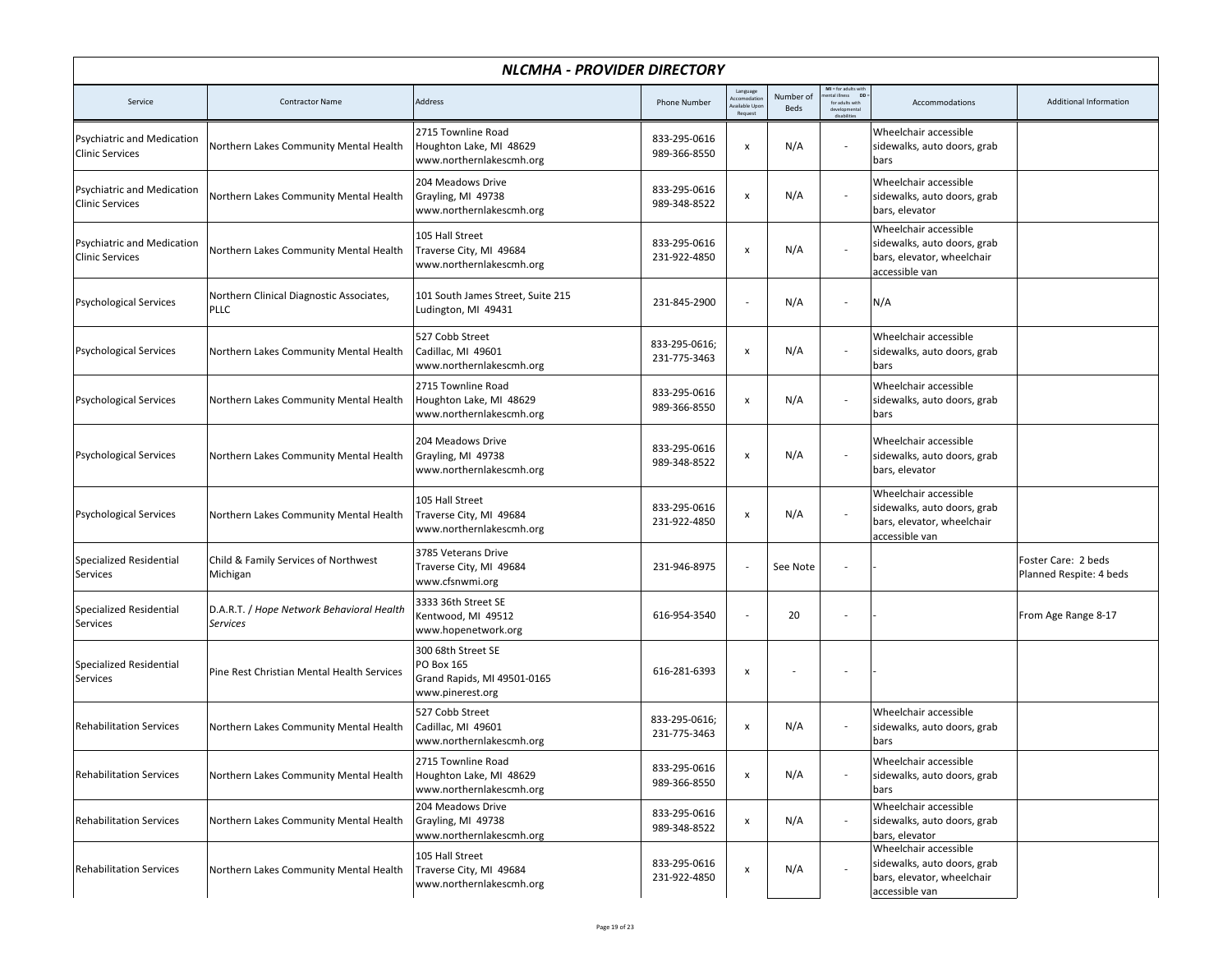|                                                             | NLCMHA - PROVIDER DIRECTORY                                  |                                                                                     |                               |                                                           |                   |                                                                               |                                                                                                      |                                                |  |  |  |
|-------------------------------------------------------------|--------------------------------------------------------------|-------------------------------------------------------------------------------------|-------------------------------|-----------------------------------------------------------|-------------------|-------------------------------------------------------------------------------|------------------------------------------------------------------------------------------------------|------------------------------------------------|--|--|--|
| Service                                                     | <b>Contractor Name</b>                                       | Address                                                                             | <b>Phone Number</b>           | Language<br><b>Accomodatio</b><br>vailable Upo<br>Request | Number of<br>Beds | MI = for adults with<br>nental illness DD<br>for adults with<br>developmental | Accommodations                                                                                       | <b>Additional Information</b>                  |  |  |  |
| <b>Psychiatric and Medication</b><br><b>Clinic Services</b> | Northern Lakes Community Mental Health                       | 2715 Townline Road<br>Houghton Lake, MI 48629<br>www.northernlakescmh.org           | 833-295-0616<br>989-366-8550  | x                                                         | N/A               |                                                                               | Wheelchair accessible<br>sidewalks, auto doors, grab<br>bars                                         |                                                |  |  |  |
| Psychiatric and Medication<br><b>Clinic Services</b>        | Northern Lakes Community Mental Health                       | 204 Meadows Drive<br>Grayling, MI 49738<br>www.northernlakescmh.org                 | 833-295-0616<br>989-348-8522  | $\pmb{\mathsf{x}}$                                        | N/A               |                                                                               | Wheelchair accessible<br>sidewalks, auto doors, grab<br>bars, elevator                               |                                                |  |  |  |
| Psychiatric and Medication<br><b>Clinic Services</b>        | Northern Lakes Community Mental Health                       | 105 Hall Street<br>Traverse City, MI 49684<br>www.northernlakescmh.org              | 833-295-0616<br>231-922-4850  | $\pmb{\mathsf{x}}$                                        | N/A               |                                                                               | Wheelchair accessible<br>sidewalks, auto doors, grab<br>bars, elevator, wheelchair<br>accessible van |                                                |  |  |  |
| <b>Psychological Services</b>                               | Northern Clinical Diagnostic Associates,<br><b>PLLC</b>      | 101 South James Street, Suite 215<br>Ludington, MI 49431                            | 231-845-2900                  |                                                           | N/A               | $\overline{\phantom{a}}$                                                      | N/A                                                                                                  |                                                |  |  |  |
| <b>Psychological Services</b>                               | Northern Lakes Community Mental Health                       | 527 Cobb Street<br>Cadillac, MI 49601<br>www.northernlakescmh.org                   | 833-295-0616;<br>231-775-3463 | x                                                         | N/A               |                                                                               | Wheelchair accessible<br>sidewalks, auto doors, grab<br>bars                                         |                                                |  |  |  |
| <b>Psychological Services</b>                               | Northern Lakes Community Mental Health                       | 2715 Townline Road<br>Houghton Lake, MI 48629<br>www.northernlakescmh.org           | 833-295-0616<br>989-366-8550  | $\pmb{\mathsf{x}}$                                        | N/A               |                                                                               | Wheelchair accessible<br>sidewalks, auto doors, grab<br>bars                                         |                                                |  |  |  |
| <b>Psychological Services</b>                               | Northern Lakes Community Mental Health                       | 204 Meadows Drive<br>Grayling, MI 49738<br>www.northernlakescmh.org                 | 833-295-0616<br>989-348-8522  | $\pmb{\mathsf{x}}$                                        | N/A               |                                                                               | Wheelchair accessible<br>sidewalks, auto doors, grab<br>bars, elevator                               |                                                |  |  |  |
| <b>Psychological Services</b>                               | Northern Lakes Community Mental Health                       | 105 Hall Street<br>Traverse City, MI 49684<br>www.northernlakescmh.org              | 833-295-0616<br>231-922-4850  | x                                                         | N/A               |                                                                               | Wheelchair accessible<br>sidewalks, auto doors, grab<br>bars, elevator, wheelchair<br>accessible van |                                                |  |  |  |
| <b>Specialized Residential</b><br>Services                  | Child & Family Services of Northwest<br>Michigan             | 3785 Veterans Drive<br>Traverse City, MI 49684<br>www.cfsnwmi.org                   | 231-946-8975                  |                                                           | See Note          |                                                                               |                                                                                                      | Foster Care: 2 beds<br>Planned Respite: 4 beds |  |  |  |
| <b>Specialized Residential</b><br>Services                  | D.A.R.T. / Hope Network Behavioral Health<br><b>Services</b> | 3333 36th Street SE<br>Kentwood, MI 49512<br>www.hopenetwork.org                    | 616-954-3540                  |                                                           | 20                | $\overline{\phantom{a}}$                                                      |                                                                                                      | From Age Range 8-17                            |  |  |  |
| Specialized Residential<br>Services                         | Pine Rest Christian Mental Health Services                   | 300 68th Street SE<br>PO Box 165<br>Grand Rapids, MI 49501-0165<br>www.pinerest.org | 616-281-6393                  | $\pmb{\mathsf{x}}$                                        |                   | $\overline{\phantom{a}}$                                                      |                                                                                                      |                                                |  |  |  |
| <b>Rehabilitation Services</b>                              | Northern Lakes Community Mental Health                       | 527 Cobb Street<br>Cadillac, MI 49601<br>www.northernlakescmh.org                   | 833-295-0616;<br>231-775-3463 | X                                                         | N/A               |                                                                               | Wheelchair accessible<br>sidewalks, auto doors, grab<br>bars                                         |                                                |  |  |  |
| <b>Rehabilitation Services</b>                              | Northern Lakes Community Mental Health                       | 2715 Townline Road<br>Houghton Lake, MI 48629<br>www.northernlakescmh.org           | 833-295-0616<br>989-366-8550  | $\pmb{\mathsf{x}}$                                        | N/A               |                                                                               | Wheelchair accessible<br>sidewalks, auto doors, grab<br>bars                                         |                                                |  |  |  |
| <b>Rehabilitation Services</b>                              | Northern Lakes Community Mental Health                       | 204 Meadows Drive<br>Grayling, MI 49738<br>www.northernlakescmh.org                 | 833-295-0616<br>989-348-8522  | $\pmb{\times}$                                            | N/A               | $\overline{\phantom{a}}$                                                      | Wheelchair accessible<br>sidewalks, auto doors, grab<br>bars, elevator                               |                                                |  |  |  |
| <b>Rehabilitation Services</b>                              | Northern Lakes Community Mental Health                       | 105 Hall Street<br>Traverse City, MI 49684<br>www.northernlakescmh.org              | 833-295-0616<br>231-922-4850  | $\pmb{\mathsf{x}}$                                        | N/A               |                                                                               | Wheelchair accessible<br>sidewalks, auto doors, grab<br>bars, elevator, wheelchair<br>accessible van |                                                |  |  |  |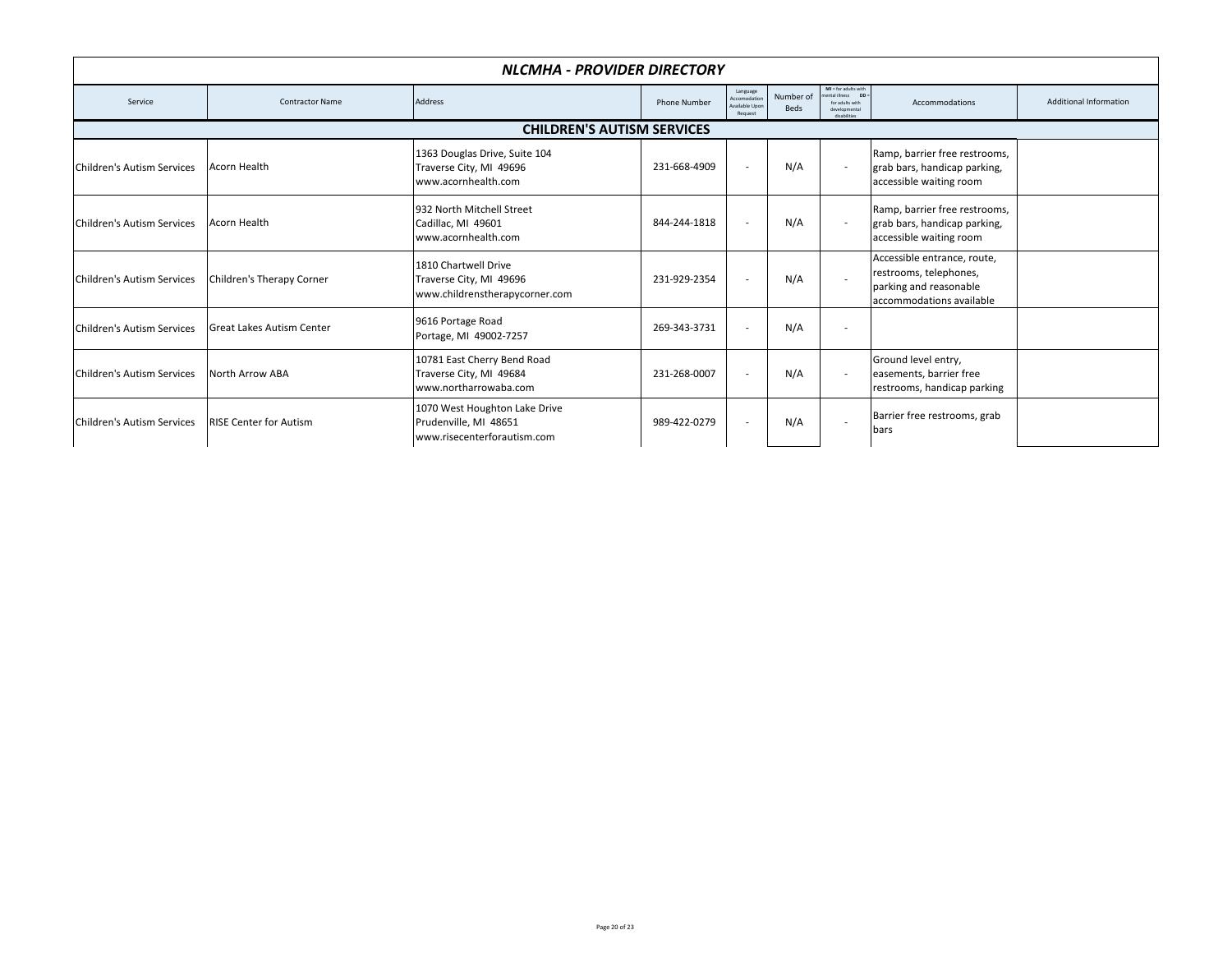|                            | NLCMHA - PROVIDER DIRECTORY       |                                                                                       |                     |                                                      |                   |                                                                                                |                                                                                                             |                               |  |  |  |
|----------------------------|-----------------------------------|---------------------------------------------------------------------------------------|---------------------|------------------------------------------------------|-------------------|------------------------------------------------------------------------------------------------|-------------------------------------------------------------------------------------------------------------|-------------------------------|--|--|--|
| Service                    | <b>Contractor Name</b>            | <b>Address</b>                                                                        | <b>Phone Number</b> | Language<br>Accomodation<br>wailable Upor<br>Request | Number of<br>Beds | $MI = for adults with$<br>ental illness DD<br>for adults with<br>developmental<br>disabilities | Accommodations                                                                                              | <b>Additional Information</b> |  |  |  |
|                            | <b>CHILDREN'S AUTISM SERVICES</b> |                                                                                       |                     |                                                      |                   |                                                                                                |                                                                                                             |                               |  |  |  |
| Children's Autism Services | <b>Acorn Health</b>               | 1363 Douglas Drive, Suite 104<br>Traverse City, MI 49696<br>www.acornhealth.com       | 231-668-4909        | $\overline{\phantom{a}}$                             | N/A               |                                                                                                | Ramp, barrier free restrooms,<br>grab bars, handicap parking,<br>accessible waiting room                    |                               |  |  |  |
| Children's Autism Services | Acorn Health                      | 932 North Mitchell Street<br>Cadillac, MI 49601<br>www.acornhealth.com                | 844-244-1818        | $\overline{\phantom{a}}$                             | N/A               |                                                                                                | Ramp, barrier free restrooms,<br>grab bars, handicap parking,<br>accessible waiting room                    |                               |  |  |  |
| Children's Autism Services | Children's Therapy Corner         | 1810 Chartwell Drive<br>Traverse City, MI 49696<br>www.childrenstherapycorner.com     | 231-929-2354        | $\sim$                                               | N/A               |                                                                                                | Accessible entrance, route,<br>restrooms, telephones,<br>parking and reasonable<br>accommodations available |                               |  |  |  |
| Children's Autism Services | <b>Great Lakes Autism Center</b>  | 9616 Portage Road<br>Portage, MI 49002-7257                                           | 269-343-3731        | $\overline{a}$                                       | N/A               | ٠                                                                                              |                                                                                                             |                               |  |  |  |
| Children's Autism Services | North Arrow ABA                   | 10781 East Cherry Bend Road<br>Traverse City, MI 49684<br>www.northarrowaba.com       | 231-268-0007        | $\overline{\phantom{a}}$                             | N/A               | $\overline{\phantom{a}}$                                                                       | Ground level entry,<br>easements, barrier free<br>restrooms, handicap parking                               |                               |  |  |  |
| Children's Autism Services | <b>RISE Center for Autism</b>     | 1070 West Houghton Lake Drive<br>Prudenville, MI 48651<br>www.risecenterforautism.com | 989-422-0279        | $\overline{\phantom{a}}$                             | N/A               | ٠                                                                                              | Barrier free restrooms, grab<br>bars                                                                        |                               |  |  |  |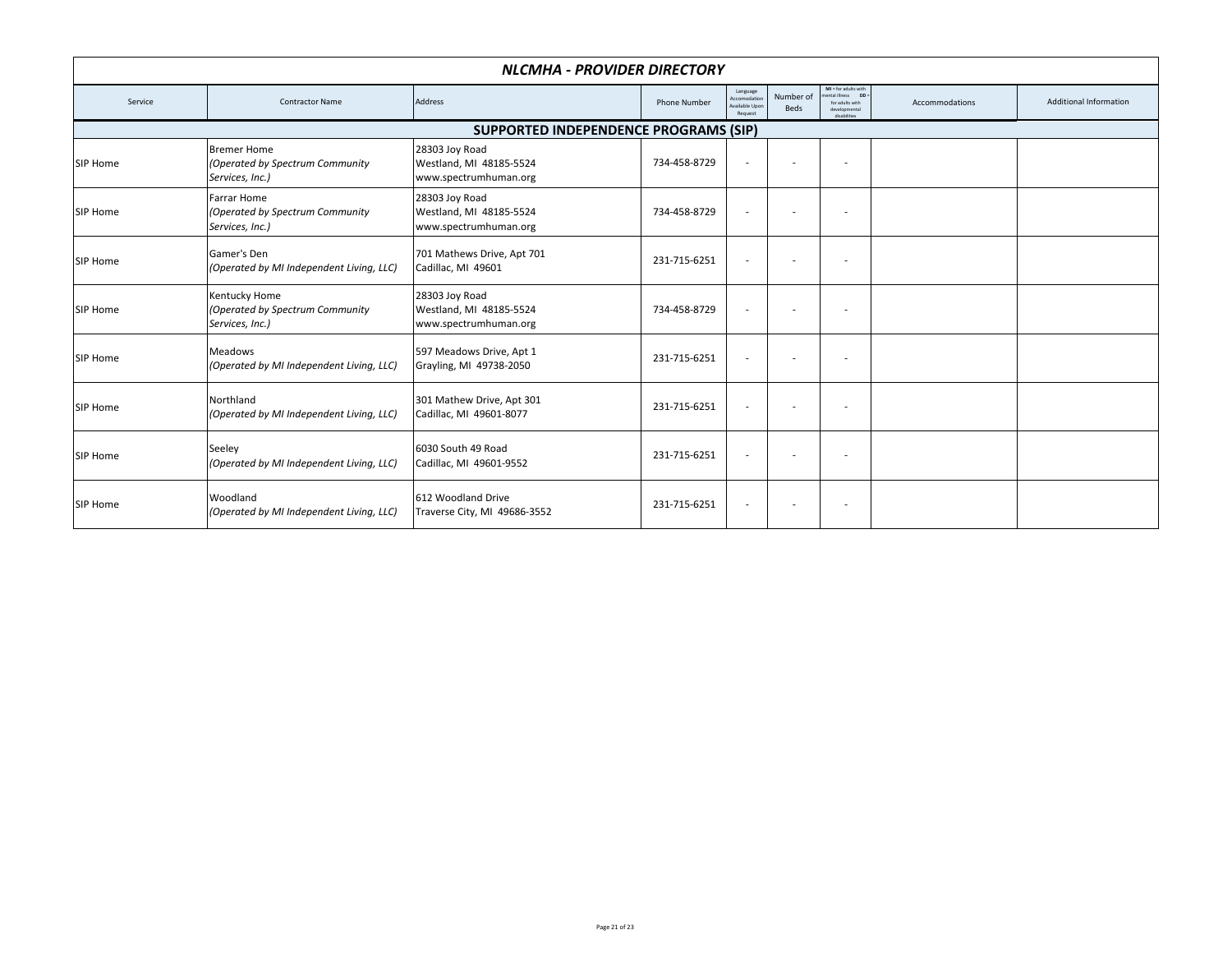|                                       |                                                                          | NLCMHA - PROVIDER DIRECTORY                                        |                     |                                                      |                          |                                                                                                          |                |                               |  |  |
|---------------------------------------|--------------------------------------------------------------------------|--------------------------------------------------------------------|---------------------|------------------------------------------------------|--------------------------|----------------------------------------------------------------------------------------------------------|----------------|-------------------------------|--|--|
| Service                               | <b>Contractor Name</b>                                                   | Address                                                            | <b>Phone Number</b> | Language<br>Accomodation<br>wailable Upon<br>Request | Number of<br><b>Beds</b> | $MI = for adults with$<br>ental illness<br><b>DD</b><br>for adults with<br>developmental<br>disabilities | Accommodations | <b>Additional Information</b> |  |  |
| SUPPORTED INDEPENDENCE PROGRAMS (SIP) |                                                                          |                                                                    |                     |                                                      |                          |                                                                                                          |                |                               |  |  |
| SIP Home                              | <b>Bremer Home</b><br>(Operated by Spectrum Community<br>Services, Inc.) | 28303 Joy Road<br>Westland, MI 48185-5524<br>www.spectrumhuman.org | 734-458-8729        | $\overline{\phantom{a}}$                             |                          | $\overline{\phantom{a}}$                                                                                 |                |                               |  |  |
| SIP Home                              | <b>Farrar Home</b><br>(Operated by Spectrum Community<br>Services, Inc.) | 28303 Joy Road<br>Westland, MI 48185-5524<br>www.spectrumhuman.org | 734-458-8729        | $\overline{\phantom{a}}$                             | $\overline{\phantom{a}}$ | $\overline{\phantom{a}}$                                                                                 |                |                               |  |  |
| SIP Home                              | Gamer's Den<br>(Operated by MI Independent Living, LLC)                  | 701 Mathews Drive, Apt 701<br>Cadillac, MI 49601                   | 231-715-6251        | $\overline{\phantom{a}}$                             |                          | $\sim$                                                                                                   |                |                               |  |  |
| SIP Home                              | Kentucky Home<br>(Operated by Spectrum Community<br>Services, Inc.)      | 28303 Joy Road<br>Westland, MI 48185-5524<br>www.spectrumhuman.org | 734-458-8729        | $\overline{\phantom{a}}$                             | ٠                        | $\sim$                                                                                                   |                |                               |  |  |
| SIP Home                              | <b>Meadows</b><br>(Operated by MI Independent Living, LLC)               | 597 Meadows Drive, Apt 1<br>Grayling, MI 49738-2050                | 231-715-6251        | $\overline{\phantom{a}}$                             |                          | $\sim$                                                                                                   |                |                               |  |  |
| SIP Home                              | Northland<br>(Operated by MI Independent Living, LLC)                    | 301 Mathew Drive, Apt 301<br>Cadillac, MI 49601-8077               | 231-715-6251        | $\overline{\phantom{a}}$                             | ۰                        | $\overline{\phantom{a}}$                                                                                 |                |                               |  |  |
| SIP Home                              | Seeley<br>(Operated by MI Independent Living, LLC)                       | 6030 South 49 Road<br>Cadillac, MI 49601-9552                      | 231-715-6251        | $\overline{\phantom{a}}$                             | $\overline{\phantom{a}}$ | $\overline{\phantom{a}}$                                                                                 |                |                               |  |  |
| SIP Home                              | Woodland<br>(Operated by MI Independent Living, LLC)                     | 612 Woodland Drive<br>Traverse City, MI 49686-3552                 | 231-715-6251        | $\overline{\phantom{a}}$                             |                          | ٠                                                                                                        |                |                               |  |  |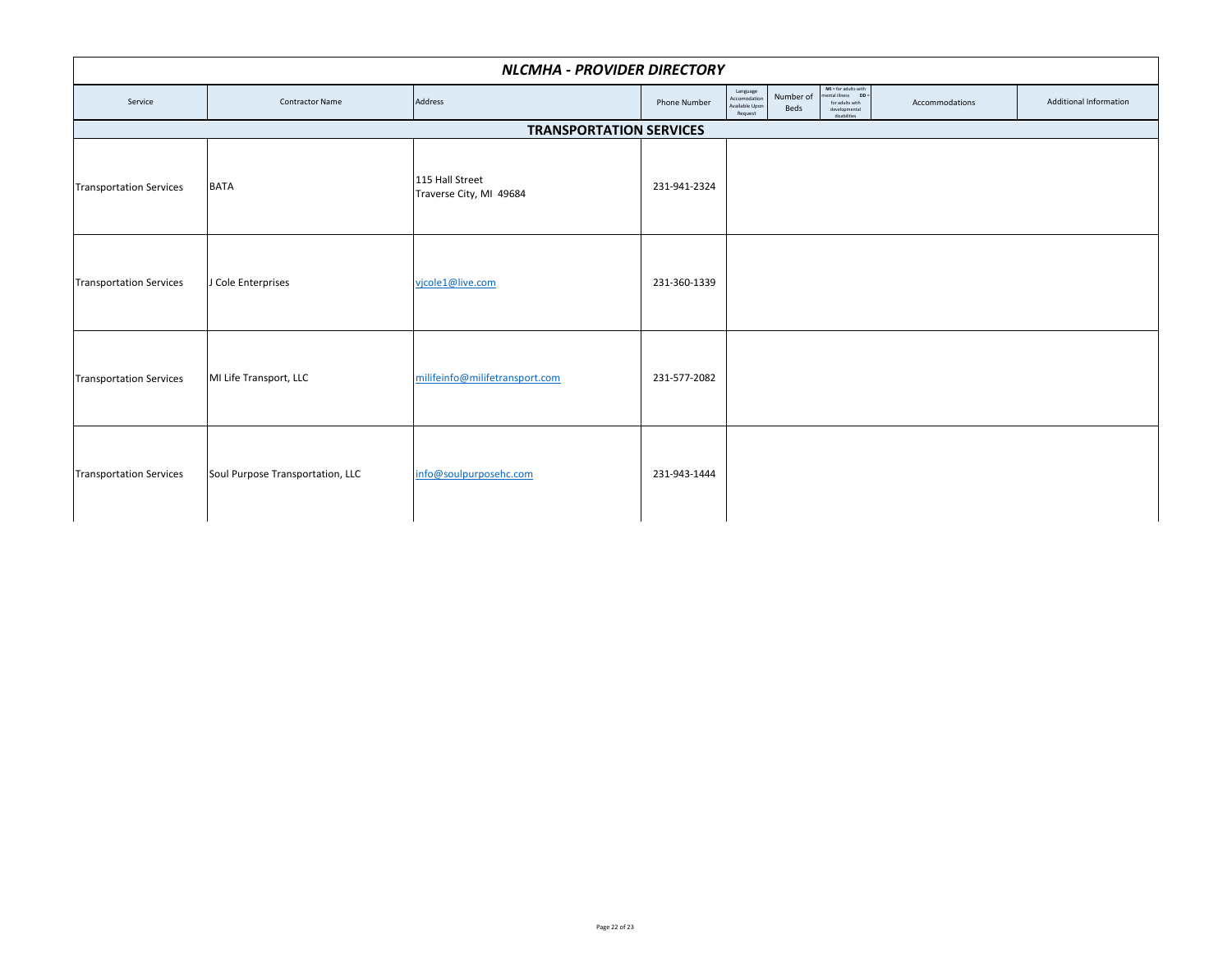|                                | NLCMHA - PROVIDER DIRECTORY      |                                            |                     |                                                                            |                                                                                                 |                |                               |  |  |  |  |  |
|--------------------------------|----------------------------------|--------------------------------------------|---------------------|----------------------------------------------------------------------------|-------------------------------------------------------------------------------------------------|----------------|-------------------------------|--|--|--|--|--|
| Service                        | <b>Contractor Name</b>           | Address                                    | <b>Phone Number</b> | Language<br>Accomodation<br>Number of<br>Available Upon<br>Beds<br>Request | $MI = for adults with$<br>nental illness DD<br>for adults with<br>developmental<br>disabilities | Accommodations | <b>Additional Information</b> |  |  |  |  |  |
| <b>TRANSPORTATION SERVICES</b> |                                  |                                            |                     |                                                                            |                                                                                                 |                |                               |  |  |  |  |  |
| <b>Transportation Services</b> | <b>BATA</b>                      | 115 Hall Street<br>Traverse City, MI 49684 | 231-941-2324        |                                                                            |                                                                                                 |                |                               |  |  |  |  |  |
| <b>Transportation Services</b> | J Cole Enterprises               | vjcole1@live.com                           | 231-360-1339        |                                                                            |                                                                                                 |                |                               |  |  |  |  |  |
| <b>Transportation Services</b> | MI Life Transport, LLC           | milifeinfo@milifetransport.com             | 231-577-2082        |                                                                            |                                                                                                 |                |                               |  |  |  |  |  |
| <b>Transportation Services</b> | Soul Purpose Transportation, LLC | info@soulpurposehc.com                     | 231-943-1444        |                                                                            |                                                                                                 |                |                               |  |  |  |  |  |